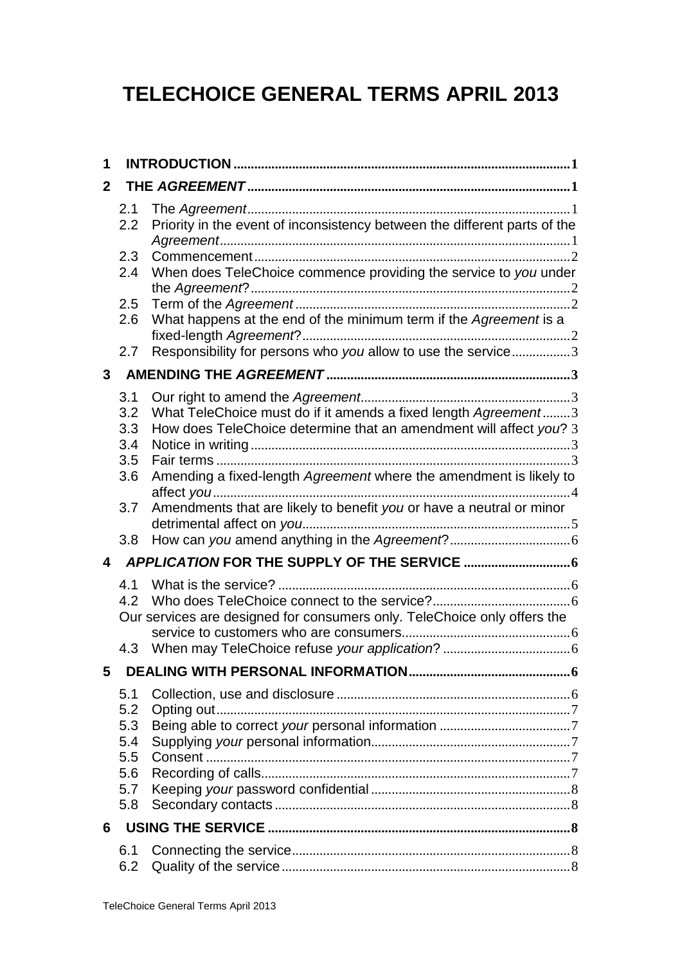# **TELECHOICE GENERAL TERMS APRIL 2013**

| 1 |            |                                                                           |  |  |  |
|---|------------|---------------------------------------------------------------------------|--|--|--|
| 2 |            |                                                                           |  |  |  |
|   | 2.1<br>2.2 | Priority in the event of inconsistency between the different parts of the |  |  |  |
|   | 2.3<br>2.4 | When does TeleChoice commence providing the service to you under          |  |  |  |
|   | 2.5        |                                                                           |  |  |  |
|   | 2.6        | What happens at the end of the minimum term if the Agreement is a         |  |  |  |
|   | 2.7        | Responsibility for persons who you allow to use the service3              |  |  |  |
| 3 |            |                                                                           |  |  |  |
|   | 3.1        |                                                                           |  |  |  |
|   | 3.2        | What TeleChoice must do if it amends a fixed length Agreement3            |  |  |  |
|   | 3.3        | How does TeleChoice determine that an amendment will affect you? 3        |  |  |  |
|   | 3.4        |                                                                           |  |  |  |
|   | 3.5        |                                                                           |  |  |  |
|   | 3.6        | Amending a fixed-length Agreement where the amendment is likely to        |  |  |  |
|   | 3.7        | Amendments that are likely to benefit you or have a neutral or minor      |  |  |  |
|   | 3.8        |                                                                           |  |  |  |
| 4 |            |                                                                           |  |  |  |
|   | 4.1        |                                                                           |  |  |  |
|   | 4.2        |                                                                           |  |  |  |
|   |            | Our services are designed for consumers only. TeleChoice only offers the  |  |  |  |
|   | 4.3        |                                                                           |  |  |  |
| 5 |            |                                                                           |  |  |  |
|   | 5.1        |                                                                           |  |  |  |
|   | 5.2        |                                                                           |  |  |  |
|   | 5.3        |                                                                           |  |  |  |
|   | 5.4        |                                                                           |  |  |  |
|   | 5.5        |                                                                           |  |  |  |
|   | 5.6        |                                                                           |  |  |  |
|   | 5.7        |                                                                           |  |  |  |
|   | 5.8        |                                                                           |  |  |  |
| 6 |            |                                                                           |  |  |  |
|   | 6.1<br>6.2 |                                                                           |  |  |  |
|   |            |                                                                           |  |  |  |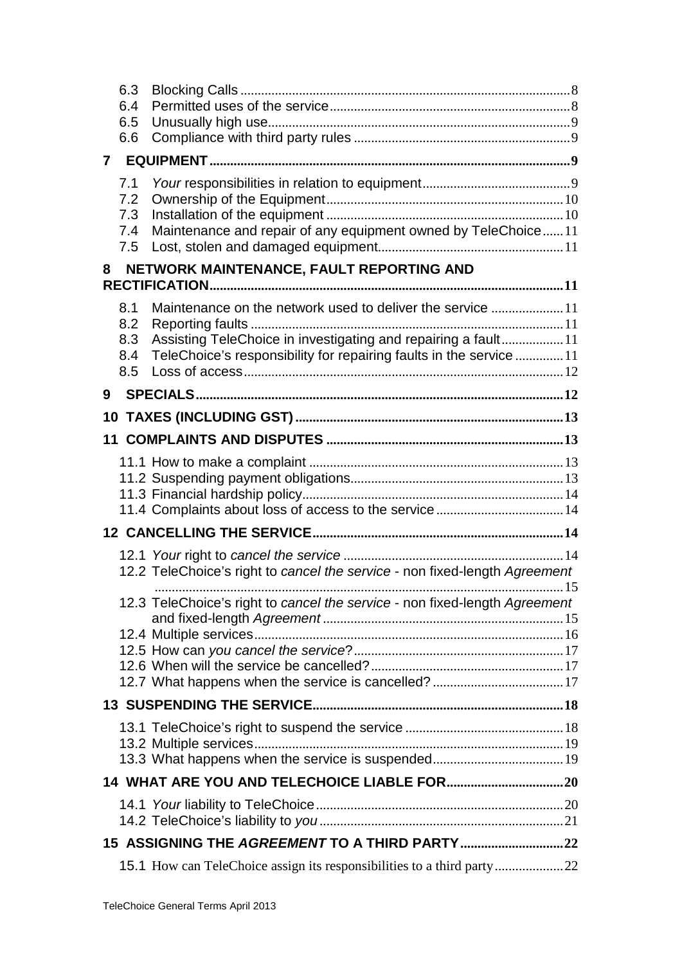|                                                | 6.3<br>6.4<br>6.5<br>6.6        |                                                                                                                                                                                                  |  |  |  |  |
|------------------------------------------------|---------------------------------|--------------------------------------------------------------------------------------------------------------------------------------------------------------------------------------------------|--|--|--|--|
|                                                |                                 |                                                                                                                                                                                                  |  |  |  |  |
|                                                | 7.1<br>7.2<br>7.3<br>7.4<br>7.5 | Maintenance and repair of any equipment owned by TeleChoice11                                                                                                                                    |  |  |  |  |
| NETWORK MAINTENANCE, FAULT REPORTING AND<br>8  |                                 |                                                                                                                                                                                                  |  |  |  |  |
|                                                | 8.1<br>8.2<br>8.3<br>8.4<br>8.5 | Maintenance on the network used to deliver the service 11<br>Assisting TeleChoice in investigating and repairing a fault11<br>TeleChoice's responsibility for repairing faults in the service 11 |  |  |  |  |
| 9                                              |                                 |                                                                                                                                                                                                  |  |  |  |  |
| 10                                             |                                 |                                                                                                                                                                                                  |  |  |  |  |
|                                                |                                 |                                                                                                                                                                                                  |  |  |  |  |
|                                                |                                 |                                                                                                                                                                                                  |  |  |  |  |
|                                                |                                 | 12.2 TeleChoice's right to cancel the service - non fixed-length Agreement                                                                                                                       |  |  |  |  |
|                                                |                                 | 12.3 TeleChoice's right to cancel the service - non fixed-length Agreement                                                                                                                       |  |  |  |  |
|                                                |                                 |                                                                                                                                                                                                  |  |  |  |  |
|                                                |                                 |                                                                                                                                                                                                  |  |  |  |  |
|                                                |                                 |                                                                                                                                                                                                  |  |  |  |  |
|                                                |                                 |                                                                                                                                                                                                  |  |  |  |  |
| 15 ASSIGNING THE AGREEMENT TO A THIRD PARTY 22 |                                 |                                                                                                                                                                                                  |  |  |  |  |
|                                                |                                 |                                                                                                                                                                                                  |  |  |  |  |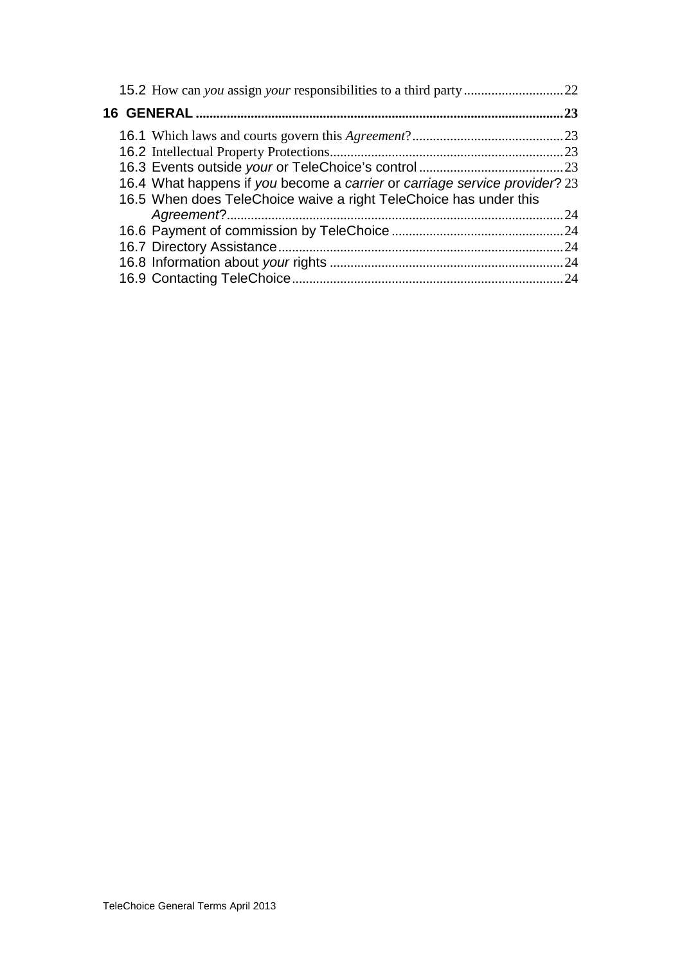| .23 |                                                                            |     |  |  |  |
|-----|----------------------------------------------------------------------------|-----|--|--|--|
|     |                                                                            |     |  |  |  |
|     |                                                                            |     |  |  |  |
|     |                                                                            |     |  |  |  |
|     | 16.4 What happens if you become a carrier or carriage service provider? 23 |     |  |  |  |
|     | 16.5 When does TeleChoice waive a right TeleChoice has under this          |     |  |  |  |
|     |                                                                            | .24 |  |  |  |
|     |                                                                            |     |  |  |  |
|     |                                                                            |     |  |  |  |
|     |                                                                            |     |  |  |  |
|     |                                                                            | .24 |  |  |  |
|     |                                                                            |     |  |  |  |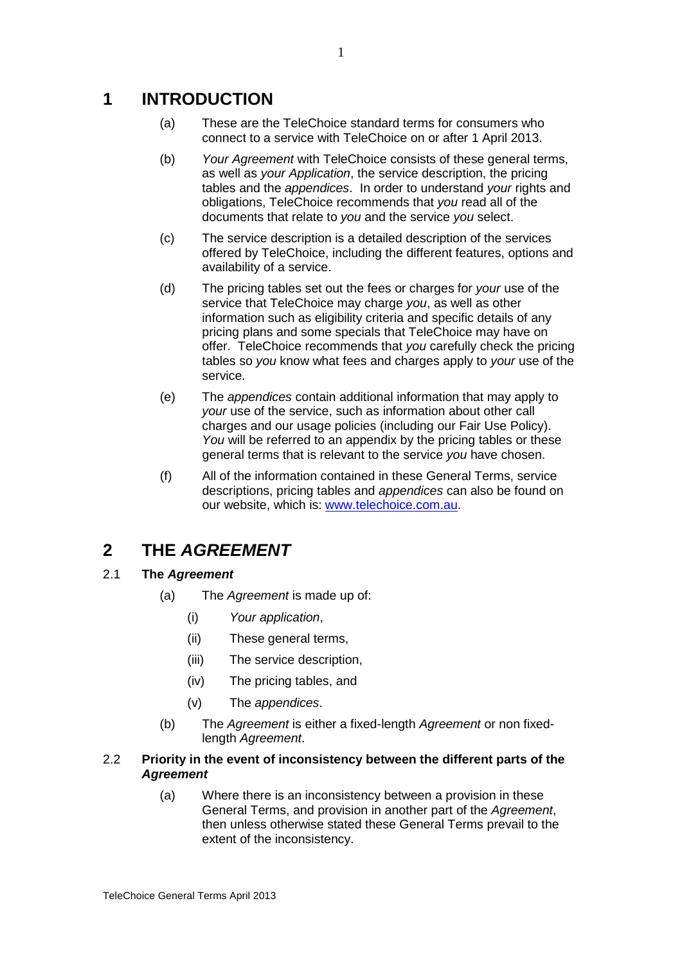## **1 INTRODUCTION**

- (a) These are the TeleChoice standard terms for consumers who connect to a service with TeleChoice on or after 1 April 2013.
- (b) *Your Agreement* with TeleChoice consists of these general terms, as well as *your Application*, the service description, the pricing tables and the *appendices*. In order to understand *your* rights and obligations, TeleChoice recommends that *you* read all of the documents that relate to *you* and the service *you* select.
- (c) The service description is a detailed description of the services offered by TeleChoice, including the different features, options and availability of a service.
- (d) The pricing tables set out the fees or charges for *your* use of the service that TeleChoice may charge *you*, as well as other information such as eligibility criteria and specific details of any pricing plans and some specials that TeleChoice may have on offer. TeleChoice recommends that *you* carefully check the pricing tables so *you* know what fees and charges apply to *your* use of the service.
- (e) The *appendices* contain additional information that may apply to *your* use of the service, such as information about other call charges and our usage policies (including our Fair Use Policy). *You* will be referred to an appendix by the pricing tables or these general terms that is relevant to the service *you* have chosen.
- (f) All of the information contained in these General Terms, service descriptions, pricing tables and *appendices* can also be found on our website, which is: [www.telechoice.com.au.](http://www.telechoice.com.au/)

## **2 THE** *AGREEMENT*

## 2.1 **The** *Agreement*

- (a) The *Agreement* is made up of:
	- (i) *Your application*,
	- (ii) These general terms,
	- (iii) The service description,
	- (iv) The pricing tables, and
	- (v) The *appendices*.
- (b) The *Agreement* is either a fixed-length *Agreement* or non fixedlength *Agreement*.

## 2.2 **Priority in the event of inconsistency between the different parts of the**  *Agreement*

(a) Where there is an inconsistency between a provision in these General Terms, and provision in another part of the *Agreement*, then unless otherwise stated these General Terms prevail to the extent of the inconsistency.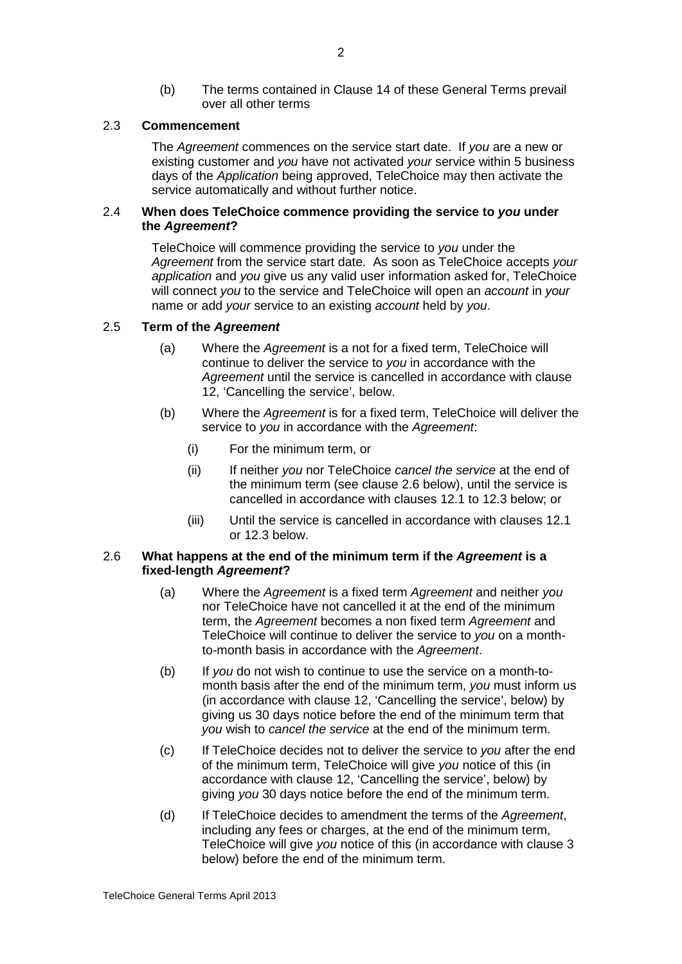(b) The terms contained in Clause 14 of these General Terms prevail over all other terms

#### 2.3 **Commencement**

The *Agreement* commences on the service start date. If *you* are a new or existing customer and *you* have not activated *your* service within 5 business days of the *Application* being approved, TeleChoice may then activate the service automatically and without further notice.

#### 2.4 **When does TeleChoice commence providing the service to** *you* **under the** *Agreement***?**

TeleChoice will commence providing the service to *you* under the *Agreement* from the service start date. As soon as TeleChoice accepts *your application* and *you* give us any valid user information asked for, TeleChoice will connect *you* to the service and TeleChoice will open an *account* in *your* name or add *your* service to an existing *account* held by *you*.

#### 2.5 **Term of the** *Agreement*

- (a) Where the *Agreement* is a not for a fixed term, TeleChoice will continue to deliver the service to *you* in accordance with the *Agreement* until the service is cancelled in accordance with clause [12,](#page-16-0) 'Cancelling the service', below.
- (b) Where the *Agreement* is for a fixed term, TeleChoice will deliver the service to *you* in accordance with the *Agreement*:
	- (i) For the minimum term, or
	- (ii) If neither *you* nor TeleChoice *cancel the service* at the end of the minimum term (see clause [2.6](#page-4-0) below), until the service is cancelled in accordance with clauses [12.1](#page-16-1) to [12.3](#page-17-0) below; or
	- (iii) Until the service is cancelled in accordance with clauses [12.1](#page-16-1) or [12.3](#page-17-0) below.

#### <span id="page-4-0"></span>2.6 **What happens at the end of the minimum term if the** *Agreement* **is a fixed-length** *Agreement***?**

- (a) Where the *Agreement* is a fixed term *Agreement* and neither *you* nor TeleChoice have not cancelled it at the end of the minimum term, the *Agreement* becomes a non fixed term *Agreement* and TeleChoice will continue to deliver the service to *you* on a monthto-month basis in accordance with the *Agreement*.
- <span id="page-4-1"></span>(b) If *you* do not wish to continue to use the service on a month-tomonth basis after the end of the minimum term, *you* must inform us (in accordance with clause [12,](#page-16-0) 'Cancelling the service', below) by giving us 30 days notice before the end of the minimum term that *you* wish to *cancel the service* at the end of the minimum term.
- (c) If TeleChoice decides not to deliver the service to *you* after the end of the minimum term, TeleChoice will give *you* notice of this (in accordance with clause [12,](#page-16-0) 'Cancelling the service', below) by giving *you* 30 days notice before the end of the minimum term.
- (d) If TeleChoice decides to amendment the terms of the *Agreement*, including any fees or charges, at the end of the minimum term, TeleChoice will give *you* notice of this (in accordance with clause 3 below) before the end of the minimum term.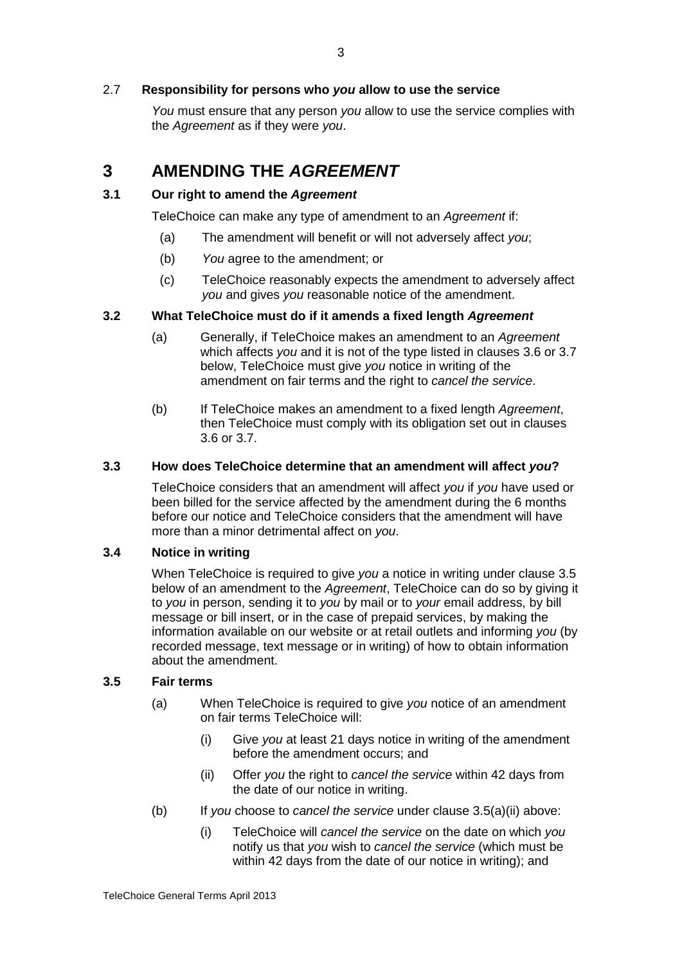## 2.7 **Responsibility for persons who** *you* **allow to use the service**

*You* must ensure that any person *you* allow to use the service complies with the *Agreement* as if they were *you*.

## **3 AMENDING THE** *AGREEMENT*

## **3.1 Our right to amend the** *Agreement*

TeleChoice can make any type of amendment to an *Agreement* if:

- (a) The amendment will benefit or will not adversely affect *you*;
- (b) *You* agree to the amendment; or
- (c) TeleChoice reasonably expects the amendment to adversely affect *you* and gives *you* reasonable notice of the amendment.

## **3.2 What TeleChoice must do if it amends a fixed length** *Agreement*

- (a) Generally, if TeleChoice makes an amendment to an *Agreement* which affects *you* and it is not of the type listed in clauses 3.6 or 3.7 below, TeleChoice must give *you* notice in writing of the amendment on fair terms and the right to *cancel the service*.
- (b) If TeleChoice makes an amendment to a fixed length *Agreement*, then TeleChoice must comply with its obligation set out in clauses 3.6 or 3.7.

## **3.3 How does TeleChoice determine that an amendment will affect** *you***?**

TeleChoice considers that an amendment will affect *you* if *you* have used or been billed for the service affected by the amendment during the 6 months before our notice and TeleChoice considers that the amendment will have more than a minor detrimental affect on *you*.

## **3.4 Notice in writing**

When TeleChoice is required to give *you* a notice in writing under clause 3.5 below of an amendment to the *Agreement*, TeleChoice can do so by giving it to *you* in person, sending it to *you* by mail or to *your* email address, by bill message or bill insert, or in the case of prepaid services, by making the information available on our website or at retail outlets and informing *you* (by recorded message, text message or in writing) of how to obtain information about the amendment.

## **3.5 Fair terms**

- (a) When TeleChoice is required to give *you* notice of an amendment on fair terms TeleChoice will:
	- (i) Give *you* at least 21 days notice in writing of the amendment before the amendment occurs; and
	- (ii) Offer *you* the right to *cancel the service* within 42 days from the date of our notice in writing.
- (b) If *you* choose to *cancel the service* under clause 3.5(a)(ii) above:
	- (i) TeleChoice will *cancel the service* on the date on which *you* notify us that *you* wish to *cancel the service* (which must be within 42 days from the date of our notice in writing); and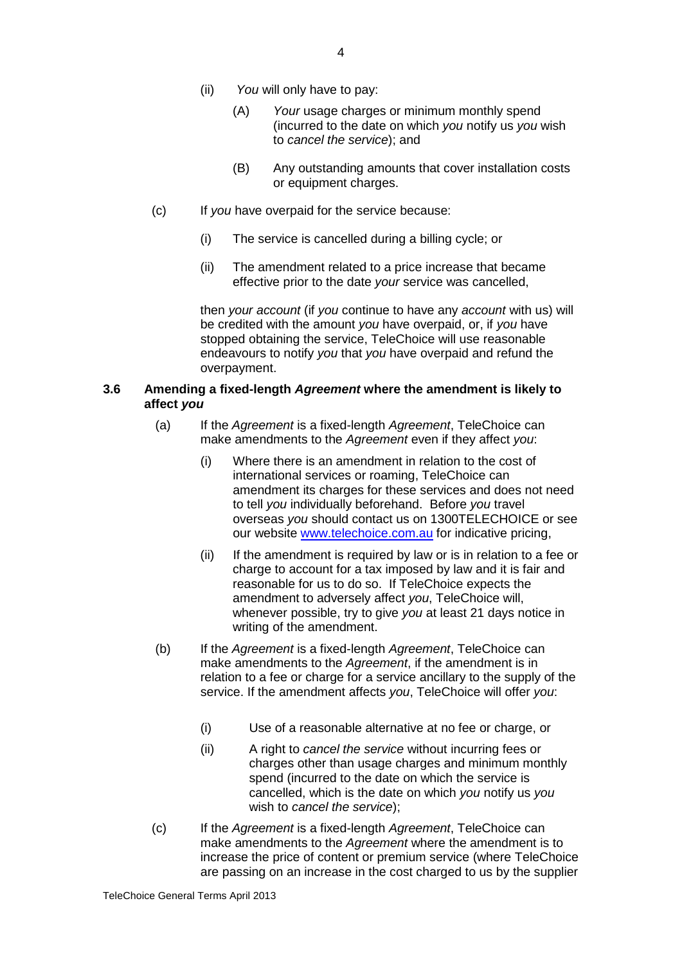- (ii) *You* will only have to pay:
	- (A) *Your* usage charges or minimum monthly spend (incurred to the date on which *you* notify us *you* wish to *cancel the service*); and
	- (B) Any outstanding amounts that cover installation costs or equipment charges.
- (c) If *you* have overpaid for the service because:
	- (i) The service is cancelled during a billing cycle; or
	- (ii) The amendment related to a price increase that became effective prior to the date *your* service was cancelled,

then *your account* (if *you* continue to have any *account* with us) will be credited with the amount *you* have overpaid, or, if *you* have stopped obtaining the service, TeleChoice will use reasonable endeavours to notify *you* that *you* have overpaid and refund the overpayment.

### **3.6 Amending a fixed-length** *Agreement* **where the amendment is likely to affect** *you*

- (a) If the *Agreement* is a fixed-length *Agreement*, TeleChoice can make amendments to the *Agreement* even if they affect *you*:
	- (i) Where there is an amendment in relation to the cost of international services or roaming, TeleChoice can amendment its charges for these services and does not need to tell *you* individually beforehand. Before *you* travel overseas *you* should contact us on 1300TELECHOICE or see our website [www.telechoice.com.au](http://www.telechoice.com.au/) for indicative pricing,
	- (ii) If the amendment is required by law or is in relation to a fee or charge to account for a tax imposed by law and it is fair and reasonable for us to do so. If TeleChoice expects the amendment to adversely affect *you*, TeleChoice will, whenever possible, try to give *you* at least 21 days notice in writing of the amendment.
- (b) If the *Agreement* is a fixed-length *Agreement*, TeleChoice can make amendments to the *Agreement*, if the amendment is in relation to a fee or charge for a service ancillary to the supply of the service. If the amendment affects *you*, TeleChoice will offer *you*:
	- (i) Use of a reasonable alternative at no fee or charge, or
	- (ii) A right to *cancel the service* without incurring fees or charges other than usage charges and minimum monthly spend (incurred to the date on which the service is cancelled, which is the date on which *you* notify us *you* wish to *cancel the service*);
- (c) If the *Agreement* is a fixed-length *Agreement*, TeleChoice can make amendments to the *Agreement* where the amendment is to increase the price of content or premium service (where TeleChoice are passing on an increase in the cost charged to us by the supplier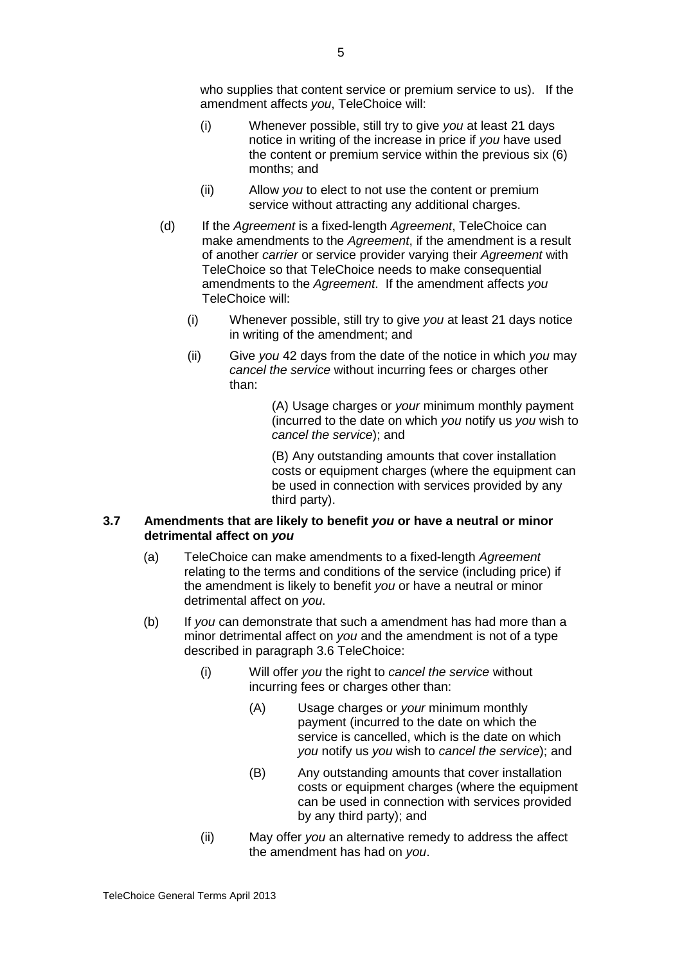who supplies that content service or premium service to us). If the amendment affects *you*, TeleChoice will:

- (i) Whenever possible, still try to give *you* at least 21 days notice in writing of the increase in price if *you* have used the content or premium service within the previous six (6) months; and
- (ii) Allow *you* to elect to not use the content or premium service without attracting any additional charges.
- (d) If the *Agreement* is a fixed-length *Agreement*, TeleChoice can make amendments to the *Agreement*, if the amendment is a result of another *carrier* or service provider varying their *Agreement* with TeleChoice so that TeleChoice needs to make consequential amendments to the *Agreement*. If the amendment affects *you* TeleChoice will:
	- (i) Whenever possible, still try to give *you* at least 21 days notice in writing of the amendment; and
	- (ii) Give *you* 42 days from the date of the notice in which *you* may *cancel the service* without incurring fees or charges other than:

(A) Usage charges or *your* minimum monthly payment (incurred to the date on which *you* notify us *you* wish to *cancel the service*); and

(B) Any outstanding amounts that cover installation costs or equipment charges (where the equipment can be used in connection with services provided by any third party).

#### **3.7 Amendments that are likely to benefit** *you* **or have a neutral or minor detrimental affect on** *you*

- (a) TeleChoice can make amendments to a fixed-length *Agreement* relating to the terms and conditions of the service (including price) if the amendment is likely to benefit *you* or have a neutral or minor detrimental affect on *you*.
- (b) If *you* can demonstrate that such a amendment has had more than a minor detrimental affect on *you* and the amendment is not of a type described in paragraph 3.6 TeleChoice:
	- (i) Will offer *you* the right to *cancel the service* without incurring fees or charges other than:
		- (A) Usage charges or *your* minimum monthly payment (incurred to the date on which the service is cancelled, which is the date on which *you* notify us *you* wish to *cancel the service*); and
		- (B) Any outstanding amounts that cover installation costs or equipment charges (where the equipment can be used in connection with services provided by any third party); and
	- (ii) May offer *you* an alternative remedy to address the affect the amendment has had on *you*.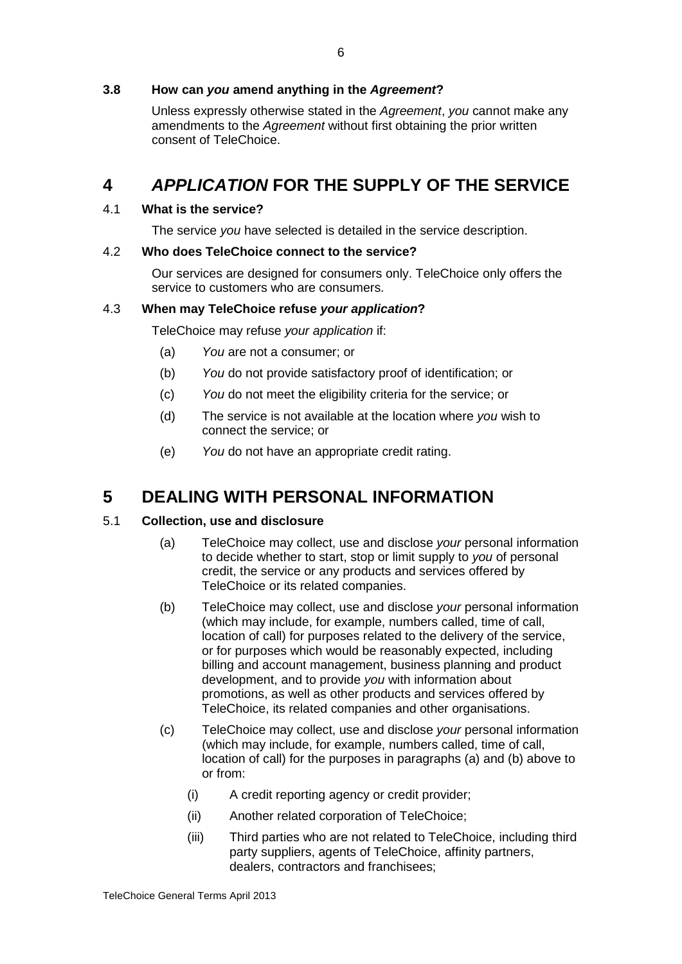## **3.8 How can** *you* **amend anything in the** *Agreement***?**

Unless expressly otherwise stated in the *Agreement*, *you* cannot make any amendments to the *Agreement* without first obtaining the prior written consent of TeleChoice.

## **4** *APPLICATION* **FOR THE SUPPLY OF THE SERVICE**

## 4.1 **What is the service?**

The service *you* have selected is detailed in the service description.

## 4.2 **Who does TeleChoice connect to the service?**

Our services are designed for consumers only. TeleChoice only offers the service to customers who are consumers.

## 4.3 **When may TeleChoice refuse** *your application***?**

TeleChoice may refuse *your application* if:

- (a) *You* are not a consumer; or
- (b) *You* do not provide satisfactory proof of identification; or
- (c) *You* do not meet the eligibility criteria for the service; or
- (d) The service is not available at the location where *you* wish to connect the service; or
- (e) *You* do not have an appropriate credit rating.

## <span id="page-8-0"></span>**5 DEALING WITH PERSONAL INFORMATION**

## 5.1 **Collection, use and disclosure**

- (a) TeleChoice may collect, use and disclose *your* personal information to decide whether to start, stop or limit supply to *you* of personal credit, the service or any products and services offered by TeleChoice or its related companies.
- (b) TeleChoice may collect, use and disclose *your* personal information (which may include, for example, numbers called, time of call, location of call) for purposes related to the delivery of the service, or for purposes which would be reasonably expected, including billing and account management, business planning and product development, and to provide *you* with information about promotions, as well as other products and services offered by TeleChoice, its related companies and other organisations.
- (c) TeleChoice may collect, use and disclose *your* personal information (which may include, for example, numbers called, time of call, location of call) for the purposes in paragraphs (a) and (b) above to or from:
	- (i) A credit reporting agency or credit provider;
	- (ii) Another related corporation of TeleChoice;
	- (iii) Third parties who are not related to TeleChoice, including third party suppliers, agents of TeleChoice, affinity partners, dealers, contractors and franchisees;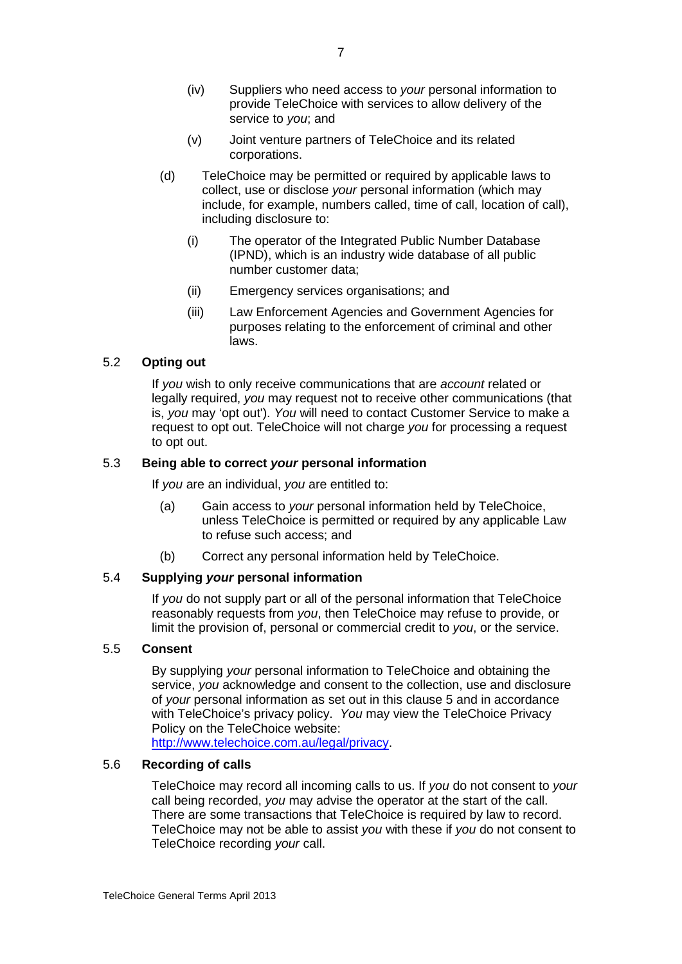- (iv) Suppliers who need access to *your* personal information to provide TeleChoice with services to allow delivery of the service to *you*; and
- (v) Joint venture partners of TeleChoice and its related corporations.
- (d) TeleChoice may be permitted or required by applicable laws to collect, use or disclose *your* personal information (which may include, for example, numbers called, time of call, location of call), including disclosure to:
	- (i) The operator of the Integrated Public Number Database (IPND), which is an industry wide database of all public number customer data;
	- (ii) Emergency services organisations; and
	- (iii) Law Enforcement Agencies and Government Agencies for purposes relating to the enforcement of criminal and other laws.

## 5.2 **Opting out**

If *you* wish to only receive communications that are *account* related or legally required, *you* may request not to receive other communications (that is, *you* may 'opt out'). *You* will need to contact Customer Service to make a request to opt out. TeleChoice will not charge *you* for processing a request to opt out.

## 5.3 **Being able to correct** *your* **personal information**

If *you* are an individual, *you* are entitled to:

- (a) Gain access to *your* personal information held by TeleChoice, unless TeleChoice is permitted or required by any applicable Law to refuse such access; and
- (b) Correct any personal information held by TeleChoice.

## 5.4 **Supplying** *your* **personal information**

If *you* do not supply part or all of the personal information that TeleChoice reasonably requests from *you*, then TeleChoice may refuse to provide, or limit the provision of, personal or commercial credit to *you*, or the service.

## 5.5 **Consent**

By supplying *your* personal information to TeleChoice and obtaining the service, *you* acknowledge and consent to the collection, use and disclosure of *your* personal information as set out in this clause [5](#page-8-0) and in accordance with TeleChoice's privacy policy. *You* may view the TeleChoice Privacy Policy on the TeleChoice website:

[http://www.telechoice.com.au/legal/privacy.](http://www.telechoice.com.au/legal/privacy)

## 5.6 **Recording of calls**

TeleChoice may record all incoming calls to us. If *you* do not consent to *your* call being recorded, *you* may advise the operator at the start of the call. There are some transactions that TeleChoice is required by law to record. TeleChoice may not be able to assist *you* with these if *you* do not consent to TeleChoice recording *your* call.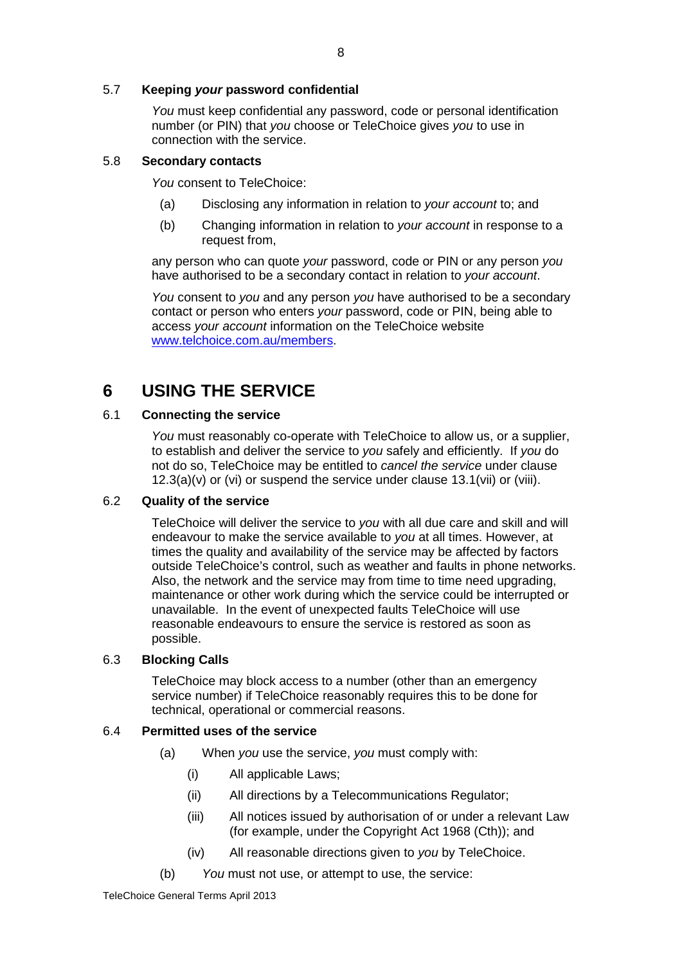## 5.7 **Keeping** *your* **password confidential**

*You* must keep confidential any password, code or personal identification number (or PIN) that *you* choose or TeleChoice gives *you* to use in connection with the service.

#### 5.8 **Secondary contacts**

*You* consent to TeleChoice:

- (a) Disclosing any information in relation to *your account* to; and
- (b) Changing information in relation to *your account* in response to a request from,

any person who can quote *your* password, code or PIN or any person *you* have authorised to be a secondary contact in relation to *your account*.

*You* consent to *you* and any person *you* have authorised to be a secondary contact or person who enters *your* password, code or PIN, being able to access *your account* information on the TeleChoice website [www.telchoice.com.au/members.](http://www.telchoice.com.au/members)

## **6 USING THE SERVICE**

#### <span id="page-10-0"></span>6.1 **Connecting the service**

*You* must reasonably co-operate with TeleChoice to allow us, or a supplier, to establish and deliver the service to *you* safely and efficiently. If *you* do not do so, TeleChoice may be entitled to *cancel the service* under clause  $12.3(a)(v)$  or (vi) or suspend the service under clause 13.1(vii) or (viii).

#### 6.2 **Quality of the service**

TeleChoice will deliver the service to *you* with all due care and skill and will endeavour to make the service available to *you* at all times. However, at times the quality and availability of the service may be affected by factors outside TeleChoice's control, such as weather and faults in phone networks. Also, the network and the service may from time to time need upgrading, maintenance or other work during which the service could be interrupted or unavailable. In the event of unexpected faults TeleChoice will use reasonable endeavours to ensure the service is restored as soon as possible.

#### <span id="page-10-1"></span>6.3 **Blocking Calls**

TeleChoice may block access to a number (other than an emergency service number) if TeleChoice reasonably requires this to be done for technical, operational or commercial reasons.

#### 6.4 **Permitted uses of the service**

- (a) When *you* use the service, *you* must comply with:
	- (i) All applicable Laws;
	- (ii) All directions by a Telecommunications Regulator;
	- (iii) All notices issued by authorisation of or under a relevant Law (for example, under the Copyright Act 1968 (Cth)); and
	- (iv) All reasonable directions given to *you* by TeleChoice.
- (b) *You* must not use, or attempt to use, the service: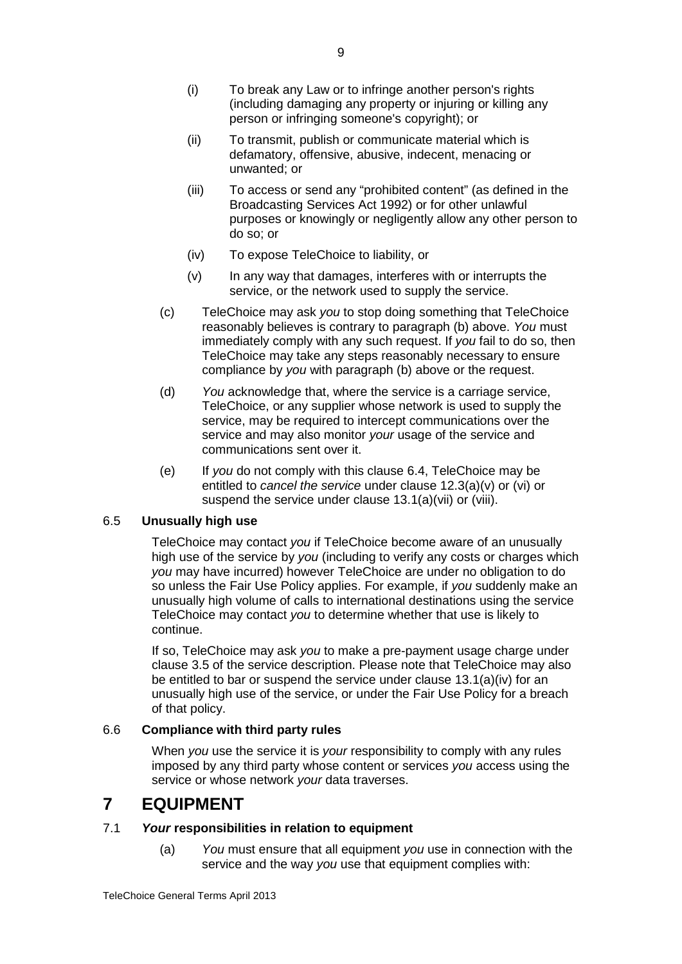- (i) To break any Law or to infringe another person's rights (including damaging any property or injuring or killing any person or infringing someone's copyright); or
- (ii) To transmit, publish or communicate material which is defamatory, offensive, abusive, indecent, menacing or unwanted; or
- (iii) To access or send any "prohibited content" (as defined in the Broadcasting Services Act 1992) or for other unlawful purposes or knowingly or negligently allow any other person to do so; or
- (iv) To expose TeleChoice to liability, or
- (v) In any way that damages, interferes with or interrupts the service, or the network used to supply the service.
- (c) TeleChoice may ask *you* to stop doing something that TeleChoice reasonably believes is contrary to paragraph (b) above. *You* must immediately comply with any such request. If *you* fail to do so, then TeleChoice may take any steps reasonably necessary to ensure compliance by *you* with paragraph (b) above or the request.
- (d) *You* acknowledge that, where the service is a carriage service, TeleChoice, or any supplier whose network is used to supply the service, may be required to intercept communications over the service and may also monitor *your* usage of the service and communications sent over it.
- (e) If *you* do not comply with this clause 6.4, TeleChoice may be entitled to *cancel the service* under clause 12.3(a)(v) or (vi) or suspend the service under clause 13.1(a)(vii) or (viii).

## 6.5 **Unusually high use**

TeleChoice may contact *you* if TeleChoice become aware of an unusually high use of the service by *you* (including to verify any costs or charges which *you* may have incurred) however TeleChoice are under no obligation to do so unless the Fair Use Policy applies. For example, if *you* suddenly make an unusually high volume of calls to international destinations using the service TeleChoice may contact *you* to determine whether that use is likely to continue.

If so, TeleChoice may ask *you* to make a pre-payment usage charge under clause 3.5 of the service description. Please note that TeleChoice may also be entitled to bar or suspend the service under clause [13.1\(a\)\(iv\)](#page-20-0) for an unusually high use of the service, or under the Fair Use Policy for a breach of that policy.

## 6.6 **Compliance with third party rules**

When *you* use the service it is *your* responsibility to comply with any rules imposed by any third party whose content or services *you* access using the service or whose network *your* data traverses.

## **7 EQUIPMENT**

## <span id="page-11-0"></span>7.1 *Your* **responsibilities in relation to equipment**

(a) *You* must ensure that all equipment *you* use in connection with the service and the way *you* use that equipment complies with: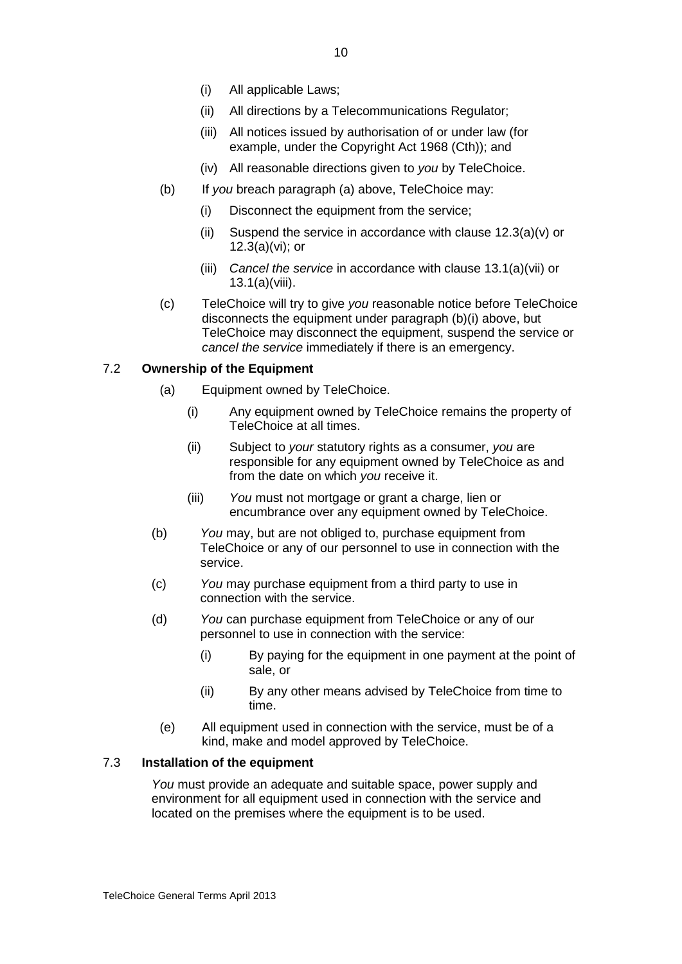- (i) All applicable Laws;
- (ii) All directions by a Telecommunications Regulator;
- (iii) All notices issued by authorisation of or under law (for example, under the Copyright Act 1968 (Cth)); and
- (iv) All reasonable directions given to *you* by TeleChoice.
- (b) If *you* breach paragraph (a) above, TeleChoice may:
	- (i) Disconnect the equipment from the service;
	- (ii) Suspend the service in accordance with clause  $12.3(a)(v)$  or 12.3(a)(vi); or
	- (iii) *Cancel the service* in accordance with clause 13.1(a)(vii) or 13.1(a)(viii).
- (c) TeleChoice will try to give *you* reasonable notice before TeleChoice disconnects the equipment under paragraph (b)(i) above, but TeleChoice may disconnect the equipment, suspend the service or *cancel the service* immediately if there is an emergency.

## 7.2 **Ownership of the Equipment**

- (a) Equipment owned by TeleChoice.
	- (i) Any equipment owned by TeleChoice remains the property of TeleChoice at all times.
	- (ii) Subject to *your* statutory rights as a consumer, *you* are responsible for any equipment owned by TeleChoice as and from the date on which *you* receive it.
	- (iii) *You* must not mortgage or grant a charge, lien or encumbrance over any equipment owned by TeleChoice.
- (b) *You* may, but are not obliged to, purchase equipment from TeleChoice or any of our personnel to use in connection with the service.
- (c) *You* may purchase equipment from a third party to use in connection with the service.
- (d) *You* can purchase equipment from TeleChoice or any of our personnel to use in connection with the service:
	- (i) By paying for the equipment in one payment at the point of sale, or
	- (ii) By any other means advised by TeleChoice from time to time.
	- (e) All equipment used in connection with the service, must be of a kind, make and model approved by TeleChoice.

#### 7.3 **Installation of the equipment**

*You* must provide an adequate and suitable space, power supply and environment for all equipment used in connection with the service and located on the premises where the equipment is to be used.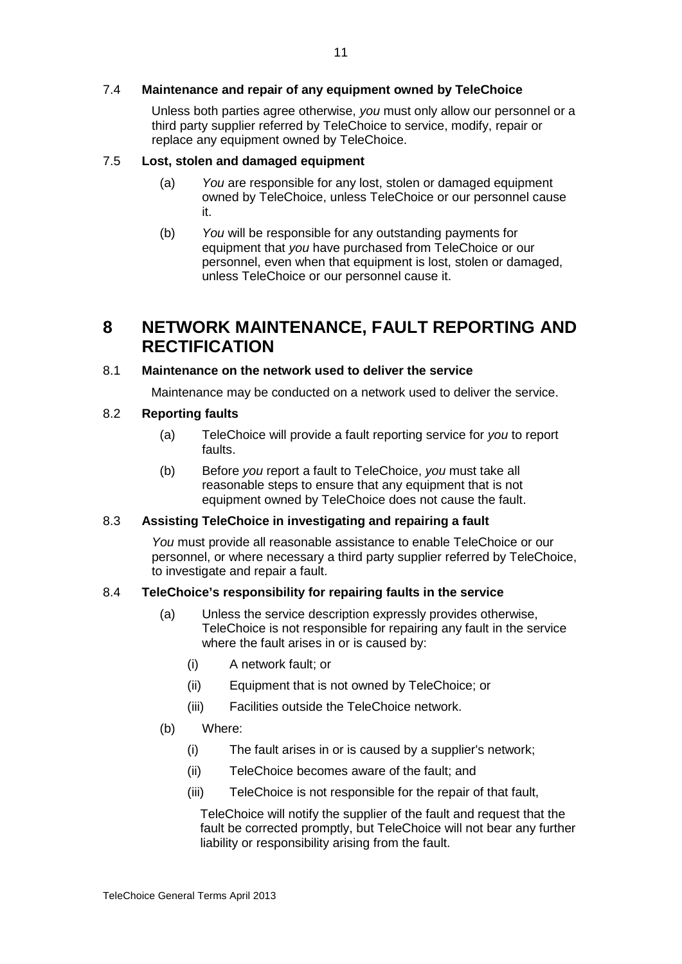### 7.4 **Maintenance and repair of any equipment owned by TeleChoice**

Unless both parties agree otherwise, *you* must only allow our personnel or a third party supplier referred by TeleChoice to service, modify, repair or replace any equipment owned by TeleChoice.

#### 7.5 **Lost, stolen and damaged equipment**

- (a) *You* are responsible for any lost, stolen or damaged equipment owned by TeleChoice, unless TeleChoice or our personnel cause it.
- (b) *You* will be responsible for any outstanding payments for equipment that *you* have purchased from TeleChoice or our personnel, even when that equipment is lost, stolen or damaged, unless TeleChoice or our personnel cause it.

## **8 NETWORK MAINTENANCE, FAULT REPORTING AND RECTIFICATION**

### 8.1 **Maintenance on the network used to deliver the service**

Maintenance may be conducted on a network used to deliver the service.

#### 8.2 **Reporting faults**

- (a) TeleChoice will provide a fault reporting service for *you* to report faults.
- (b) Before *you* report a fault to TeleChoice, *you* must take all reasonable steps to ensure that any equipment that is not equipment owned by TeleChoice does not cause the fault.

#### 8.3 **Assisting TeleChoice in investigating and repairing a fault**

*You* must provide all reasonable assistance to enable TeleChoice or our personnel, or where necessary a third party supplier referred by TeleChoice, to investigate and repair a fault.

#### 8.4 **TeleChoice's responsibility for repairing faults in the service**

- (a) Unless the service description expressly provides otherwise, TeleChoice is not responsible for repairing any fault in the service where the fault arises in or is caused by:
	- (i) A network fault; or
	- (ii) Equipment that is not owned by TeleChoice; or
	- (iii) Facilities outside the TeleChoice network.
- (b) Where:
	- (i) The fault arises in or is caused by a supplier's network;
	- (ii) TeleChoice becomes aware of the fault; and
	- (iii) TeleChoice is not responsible for the repair of that fault,

TeleChoice will notify the supplier of the fault and request that the fault be corrected promptly, but TeleChoice will not bear any further liability or responsibility arising from the fault.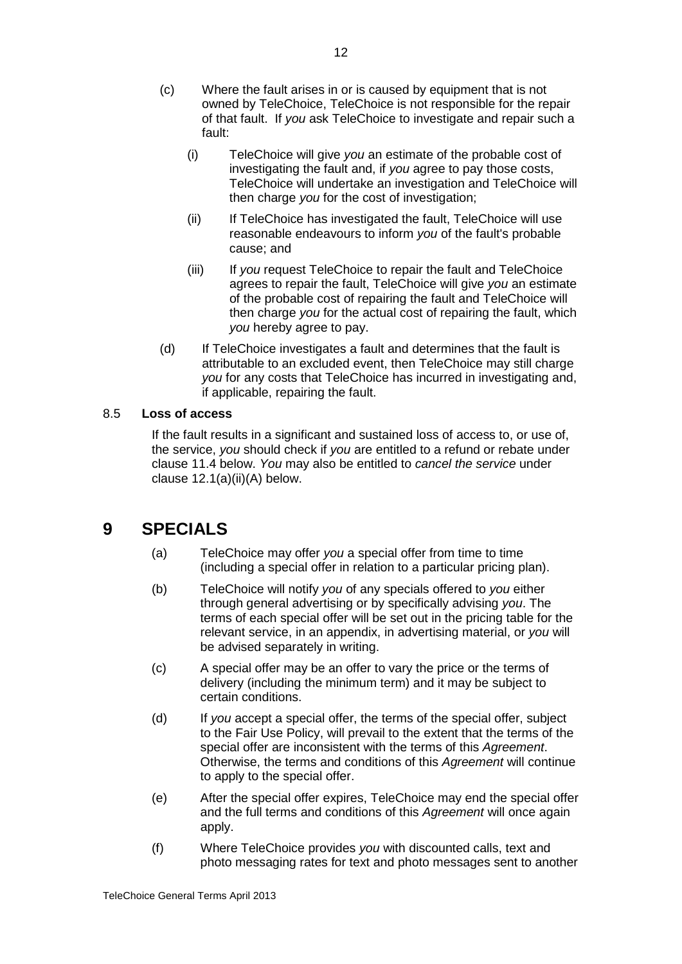- (c) Where the fault arises in or is caused by equipment that is not owned by TeleChoice, TeleChoice is not responsible for the repair of that fault. If *you* ask TeleChoice to investigate and repair such a fault:
	- (i) TeleChoice will give *you* an estimate of the probable cost of investigating the fault and, if *you* agree to pay those costs, TeleChoice will undertake an investigation and TeleChoice will then charge *you* for the cost of investigation;
	- (ii) If TeleChoice has investigated the fault, TeleChoice will use reasonable endeavours to inform *you* of the fault's probable cause; and
	- (iii) If *you* request TeleChoice to repair the fault and TeleChoice agrees to repair the fault, TeleChoice will give *you* an estimate of the probable cost of repairing the fault and TeleChoice will then charge *you* for the actual cost of repairing the fault, which *you* hereby agree to pay.
- (d) If TeleChoice investigates a fault and determines that the fault is attributable to an excluded event, then TeleChoice may still charge *you* for any costs that TeleChoice has incurred in investigating and, if applicable, repairing the fault.

## 8.5 **Loss of access**

If the fault results in a significant and sustained loss of access to, or use of, the service, *you* should check if *you* are entitled to a refund or rebate under clause 11.4 below. *You* may also be entitled to *cancel the service* under clause 12.1(a)(ii)(A) below.

## **9 SPECIALS**

- (a) TeleChoice may offer *you* a special offer from time to time (including a special offer in relation to a particular pricing plan).
- (b) TeleChoice will notify *you* of any specials offered to *you* either through general advertising or by specifically advising *you*. The terms of each special offer will be set out in the pricing table for the relevant service, in an appendix, in advertising material, or *you* will be advised separately in writing.
- (c) A special offer may be an offer to vary the price or the terms of delivery (including the minimum term) and it may be subject to certain conditions.
- (d) If *you* accept a special offer, the terms of the special offer, subject to the Fair Use Policy, will prevail to the extent that the terms of the special offer are inconsistent with the terms of this *Agreement*. Otherwise, the terms and conditions of this *Agreement* will continue to apply to the special offer.
- (e) After the special offer expires, TeleChoice may end the special offer and the full terms and conditions of this *Agreement* will once again apply.
- (f) Where TeleChoice provides *you* with discounted calls, text and photo messaging rates for text and photo messages sent to another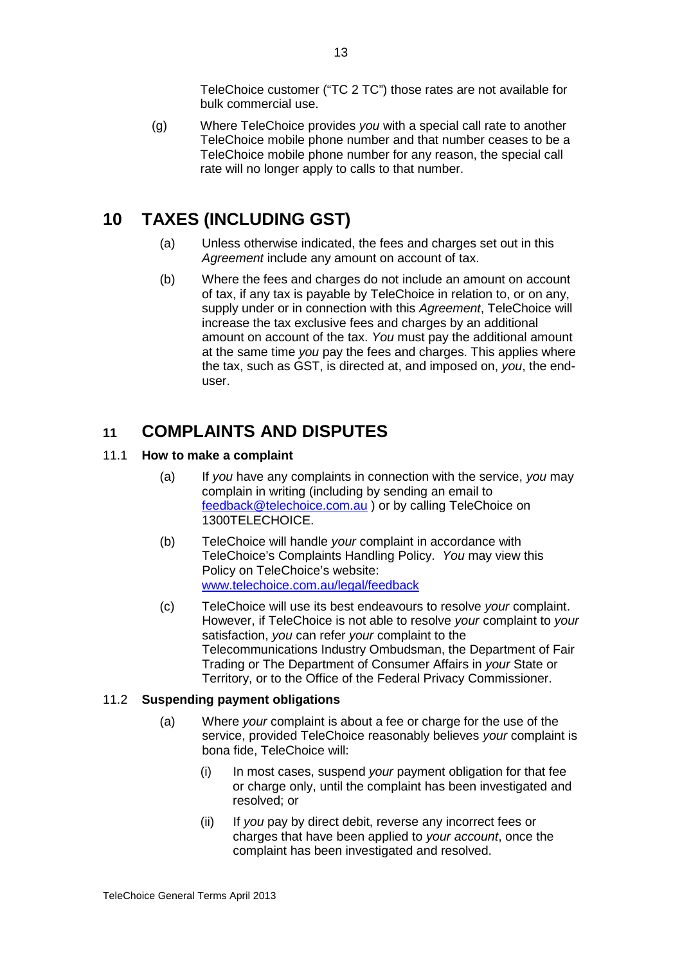TeleChoice customer ("TC 2 TC") those rates are not available for bulk commercial use.

(g) Where TeleChoice provides *you* with a special call rate to another TeleChoice mobile phone number and that number ceases to be a TeleChoice mobile phone number for any reason, the special call rate will no longer apply to calls to that number.

## **10 TAXES (INCLUDING GST)**

- (a) Unless otherwise indicated, the fees and charges set out in this *Agreement* include any amount on account of tax.
- (b) Where the fees and charges do not include an amount on account of tax, if any tax is payable by TeleChoice in relation to, or on any, supply under or in connection with this *Agreement*, TeleChoice will increase the tax exclusive fees and charges by an additional amount on account of the tax. *You* must pay the additional amount at the same time *you* pay the fees and charges. This applies where the tax, such as GST, is directed at, and imposed on, *you*, the enduser.

## **11 COMPLAINTS AND DISPUTES**

## 11.1 **How to make a complaint**

- (a) If *you* have any complaints in connection with the service, *you* may complain in writing (including by sending an email to [feedback@telechoice.com.au](mailto:feedback@telechoice.com.au) ) or by calling TeleChoice on 1300TELECHOICE.
- (b) TeleChoice will handle *your* complaint in accordance with TeleChoice's Complaints Handling Policy. *You* may view this Policy on TeleChoice's website: [www.telechoice.com.au/legal/feedback](http://www.telechoice.com.au/legal/feedback)
- (c) TeleChoice will use its best endeavours to resolve *your* complaint. However, if TeleChoice is not able to resolve *your* complaint to *your* satisfaction, *you* can refer *your* complaint to the Telecommunications Industry Ombudsman, the Department of Fair Trading or The Department of Consumer Affairs in *your* State or Territory, or to the Office of the Federal Privacy Commissioner.

## 11.2 **Suspending payment obligations**

- (a) Where *your* complaint is about a fee or charge for the use of the service, provided TeleChoice reasonably believes *your* complaint is bona fide, TeleChoice will:
	- (i) In most cases, suspend *your* payment obligation for that fee or charge only, until the complaint has been investigated and resolved; or
	- (ii) If *you* pay by direct debit, reverse any incorrect fees or charges that have been applied to *your account*, once the complaint has been investigated and resolved.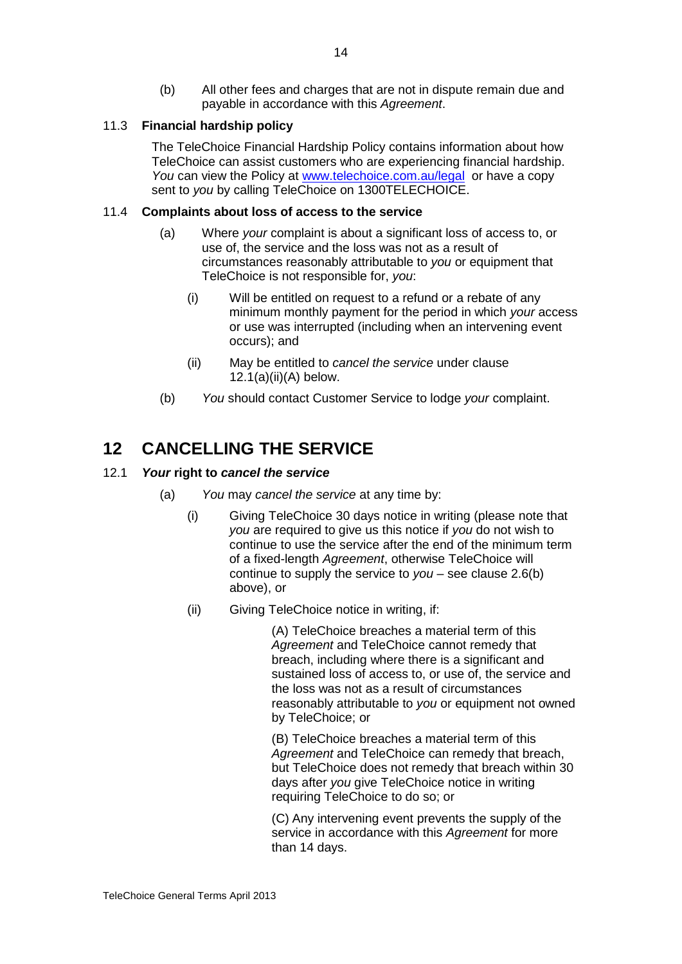(b) All other fees and charges that are not in dispute remain due and payable in accordance with this *Agreement*.

## 11.3 **Financial hardship policy**

The TeleChoice Financial Hardship Policy contains information about how TeleChoice can assist customers who are experiencing financial hardship. *You* can view the Policy at [www.telechoice.com.au/legal](http://www.telechoice.com.au/legal) or have a copy sent to *you* by calling TeleChoice on 1300TELECHOICE.

## 11.4 **Complaints about loss of access to the service**

- (a) Where *your* complaint is about a significant loss of access to, or use of, the service and the loss was not as a result of circumstances reasonably attributable to *you* or equipment that TeleChoice is not responsible for, *you*:
	- (i) Will be entitled on request to a refund or a rebate of any minimum monthly payment for the period in which *your* access or use was interrupted (including when an intervening event occurs); and
	- (ii) May be entitled to *cancel the service* under clause  $12.1(a)(ii)(A)$  below.
- (b) *You* should contact Customer Service to lodge *your* complaint.

## <span id="page-16-0"></span>**12 CANCELLING THE SERVICE**

## <span id="page-16-1"></span>12.1 *Your* **right to** *cancel the service*

- (a) *You* may *cancel the service* at any time by:
	- (i) Giving TeleChoice 30 days notice in writing (please note that *you* are required to give us this notice if *you* do not wish to continue to use the service after the end of the minimum term of a fixed-length *Agreement*, otherwise TeleChoice will continue to supply the service to *you* – see clause [2.6\(b\)](#page-4-1) above), or
	- (ii) Giving TeleChoice notice in writing, if:

(A) TeleChoice breaches a material term of this *Agreement* and TeleChoice cannot remedy that breach, including where there is a significant and sustained loss of access to, or use of, the service and the loss was not as a result of circumstances reasonably attributable to *you* or equipment not owned by TeleChoice; or

(B) TeleChoice breaches a material term of this *Agreement* and TeleChoice can remedy that breach, but TeleChoice does not remedy that breach within 30 days after *you* give TeleChoice notice in writing requiring TeleChoice to do so; or

(C) Any intervening event prevents the supply of the service in accordance with this *Agreement* for more than 14 days.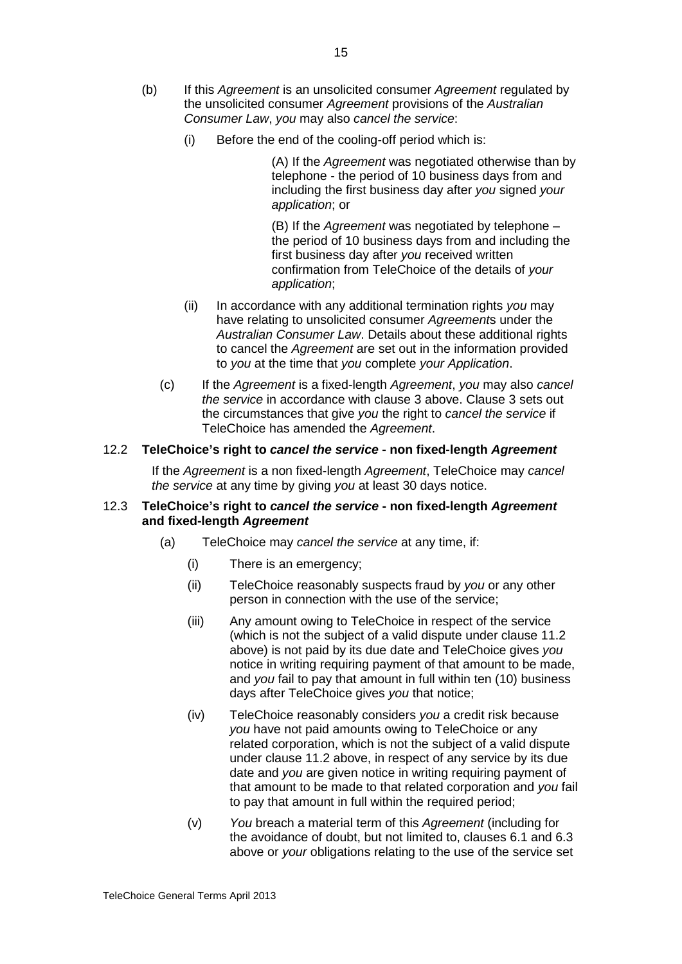- <span id="page-17-1"></span>(b) If this *Agreement* is an unsolicited consumer *Agreement* regulated by the unsolicited consumer *Agreement* provisions of the *Australian Consumer Law*, *you* may also *cancel the service*:
	- (i) Before the end of the cooling-off period which is:

(A) If the *Agreement* was negotiated otherwise than by telephone - the period of 10 business days from and including the first business day after *you* signed *your application*; or

(B) If the *Agreement* was negotiated by telephone – the period of 10 business days from and including the first business day after *you* received written confirmation from TeleChoice of the details of *your application*;

- (ii) In accordance with any additional termination rights *you* may have relating to unsolicited consumer *Agreement*s under the *Australian Consumer Law*. Details about these additional rights to cancel the *Agreement* are set out in the information provided to *you* at the time that *you* complete *your Application*.
- (c) If the *Agreement* is a fixed-length *Agreement*, *you* may also *cancel the service* in accordance with clause 3 above. Clause 3 sets out the circumstances that give *you* the right to *cancel the service* if TeleChoice has amended the *Agreement*.

#### 12.2 **TeleChoice's right to** *cancel the service* **- non fixed-length** *Agreement*

If the *Agreement* is a non fixed-length *Agreement*, TeleChoice may *cancel the service* at any time by giving *you* at least 30 days notice.

#### <span id="page-17-0"></span>12.3 **TeleChoice's right to** *cancel the service* **- non fixed-length** *Agreement* **and fixed-length** *Agreement*

- (a) TeleChoice may *cancel the service* at any time, if:
	- (i) There is an emergency;
	- (ii) TeleChoice reasonably suspects fraud by *you* or any other person in connection with the use of the service;
	- (iii) Any amount owing to TeleChoice in respect of the service (which is not the subject of a valid dispute under clause 11.2 above) is not paid by its due date and TeleChoice gives *you* notice in writing requiring payment of that amount to be made, and *you* fail to pay that amount in full within ten (10) business days after TeleChoice gives *you* that notice;
	- (iv) TeleChoice reasonably considers *you* a credit risk because *you* have not paid amounts owing to TeleChoice or any related corporation, which is not the subject of a valid dispute under clause 11.2 above, in respect of any service by its due date and *you* are given notice in writing requiring payment of that amount to be made to that related corporation and *you* fail to pay that amount in full within the required period;
	- (v) *You* breach a material term of this *Agreement* (including for the avoidance of doubt, but not limited to, clauses [6.1](#page-10-0) and [6.3](#page-10-1) above or *your* obligations relating to the use of the service set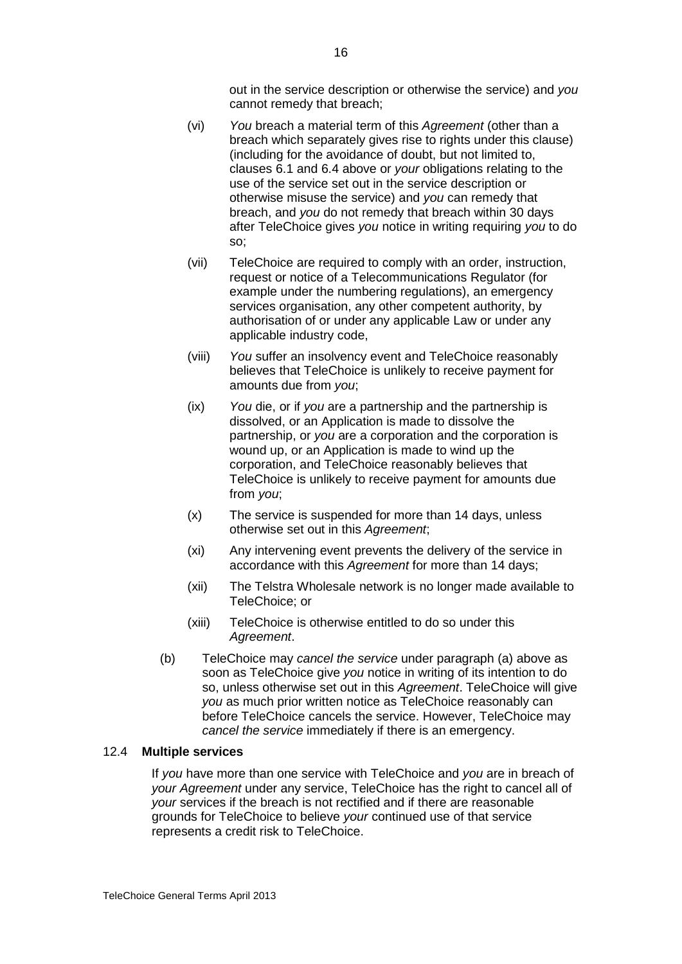out in the service description or otherwise the service) and *you* cannot remedy that breach;

- (vi) *You* breach a material term of this *Agreement* (other than a breach which separately gives rise to rights under this clause) (including for the avoidance of doubt, but not limited to, clauses [6.1](#page-10-0) and 6.4 above or *your* obligations relating to the use of the service set out in the service description or otherwise misuse the service) and *you* can remedy that breach, and *you* do not remedy that breach within 30 days after TeleChoice gives *you* notice in writing requiring *you* to do so;
- (vii) TeleChoice are required to comply with an order, instruction, request or notice of a Telecommunications Regulator (for example under the numbering regulations), an emergency services organisation, any other competent authority, by authorisation of or under any applicable Law or under any applicable industry code,
- (viii) *You* suffer an insolvency event and TeleChoice reasonably believes that TeleChoice is unlikely to receive payment for amounts due from *you*;
- (ix) *You* die, or if *you* are a partnership and the partnership is dissolved, or an Application is made to dissolve the partnership, or *you* are a corporation and the corporation is wound up, or an Application is made to wind up the corporation, and TeleChoice reasonably believes that TeleChoice is unlikely to receive payment for amounts due from *you*;
- (x) The service is suspended for more than 14 days, unless otherwise set out in this *Agreement*;
- (xi) Any intervening event prevents the delivery of the service in accordance with this *Agreement* for more than 14 days;
- (xii) The Telstra Wholesale network is no longer made available to TeleChoice; or
- (xiii) TeleChoice is otherwise entitled to do so under this *Agreement*.
- (b) TeleChoice may *cancel the service* under paragraph (a) above as soon as TeleChoice give *you* notice in writing of its intention to do so, unless otherwise set out in this *Agreement*. TeleChoice will give *you* as much prior written notice as TeleChoice reasonably can before TeleChoice cancels the service. However, TeleChoice may *cancel the service* immediately if there is an emergency.

#### 12.4 **Multiple services**

If *you* have more than one service with TeleChoice and *you* are in breach of *your Agreement* under any service, TeleChoice has the right to cancel all of *your* services if the breach is not rectified and if there are reasonable grounds for TeleChoice to believe *your* continued use of that service represents a credit risk to TeleChoice.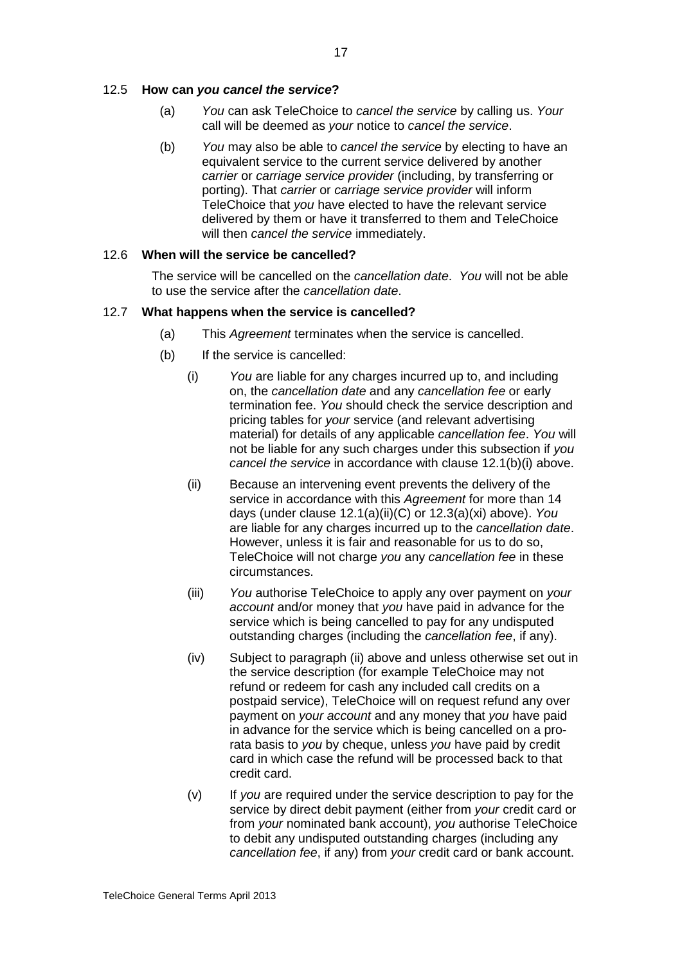### 12.5 **How can** *you cancel the service***?**

- (a) *You* can ask TeleChoice to *cancel the service* by calling us. *Your* call will be deemed as *your* notice to *cancel the service*.
- (b) *You* may also be able to *cancel the service* by electing to have an equivalent service to the current service delivered by another *carrier* or *carriage service provider* (including, by transferring or porting). That *carrier* or *carriage service provider* will inform TeleChoice that *you* have elected to have the relevant service delivered by them or have it transferred to them and TeleChoice will then *cancel the service* immediately.

#### 12.6 **When will the service be cancelled?**

The service will be cancelled on the *cancellation date*. *You* will not be able to use the service after the *cancellation date*.

#### 12.7 **What happens when the service is cancelled?**

- (a) This *Agreement* terminates when the service is cancelled.
- (b) If the service is cancelled:
	- (i) *You* are liable for any charges incurred up to, and including on, the *cancellation date* and any *cancellation fee* or early termination fee. *You* should check the service description and pricing tables for *your* service (and relevant advertising material) for details of any applicable *cancellation fee*. *You* will not be liable for any such charges under this subsection if *you cancel the service* in accordance with clause [12.1\(b\)\(i\)](#page-17-1) above.
	- (ii) Because an intervening event prevents the delivery of the service in accordance with this *Agreement* for more than 14 days (under clause 12.1(a)(ii)(C) or 12.3(a)(xi) above). *You* are liable for any charges incurred up to the *cancellation date*. However, unless it is fair and reasonable for us to do so, TeleChoice will not charge *you* any *cancellation fee* in these circumstances.
	- (iii) *You* authorise TeleChoice to apply any over payment on *your account* and/or money that *you* have paid in advance for the service which is being cancelled to pay for any undisputed outstanding charges (including the *cancellation fee*, if any).
	- (iv) Subject to paragraph (ii) above and unless otherwise set out in the service description (for example TeleChoice may not refund or redeem for cash any included call credits on a postpaid service), TeleChoice will on request refund any over payment on *your account* and any money that *you* have paid in advance for the service which is being cancelled on a prorata basis to *you* by cheque, unless *you* have paid by credit card in which case the refund will be processed back to that credit card.
	- (v) If *you* are required under the service description to pay for the service by direct debit payment (either from *your* credit card or from *your* nominated bank account), *you* authorise TeleChoice to debit any undisputed outstanding charges (including any *cancellation fee*, if any) from *your* credit card or bank account.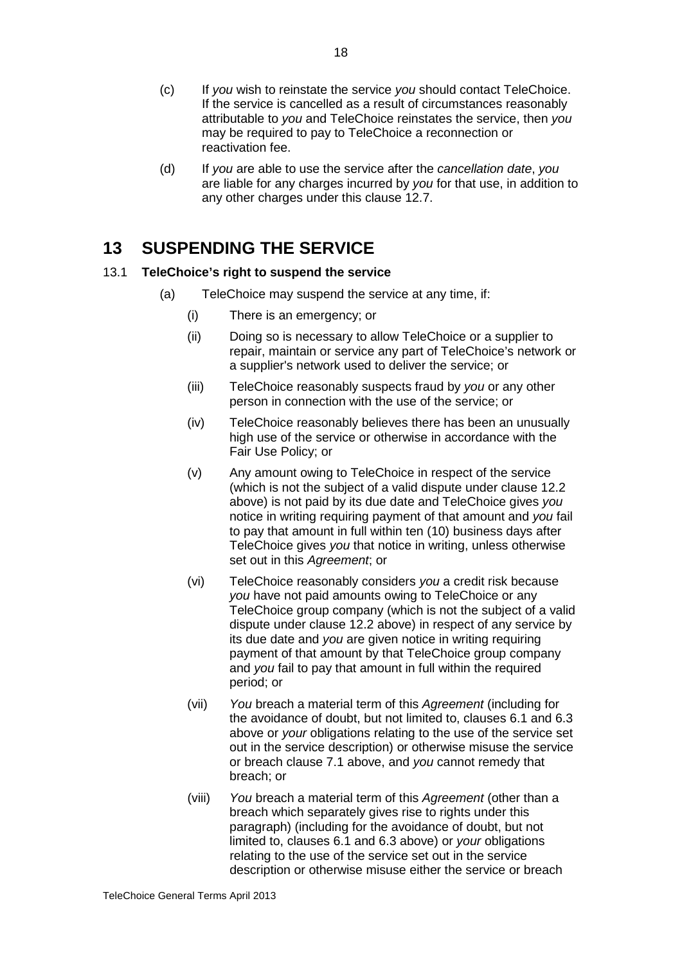- (c) If *you* wish to reinstate the service *you* should contact TeleChoice. If the service is cancelled as a result of circumstances reasonably attributable to *you* and TeleChoice reinstates the service, then *you* may be required to pay to TeleChoice a reconnection or reactivation fee.
- (d) If *you* are able to use the service after the *cancellation date*, *you* are liable for any charges incurred by *you* for that use, in addition to any other charges under this clause 12.7.

## **13 SUSPENDING THE SERVICE**

## 13.1 **TeleChoice's right to suspend the service**

- <span id="page-20-1"></span><span id="page-20-0"></span>(a) TeleChoice may suspend the service at any time, if:
	- (i) There is an emergency; or
	- (ii) Doing so is necessary to allow TeleChoice or a supplier to repair, maintain or service any part of TeleChoice's network or a supplier's network used to deliver the service; or
	- (iii) TeleChoice reasonably suspects fraud by *you* or any other person in connection with the use of the service; or
	- (iv) TeleChoice reasonably believes there has been an unusually high use of the service or otherwise in accordance with the Fair Use Policy; or
	- (v) Any amount owing to TeleChoice in respect of the service (which is not the subject of a valid dispute under clause 12.2 above) is not paid by its due date and TeleChoice gives *you* notice in writing requiring payment of that amount and *you* fail to pay that amount in full within ten (10) business days after TeleChoice gives *you* that notice in writing, unless otherwise set out in this *Agreement*; or
	- (vi) TeleChoice reasonably considers *you* a credit risk because *you* have not paid amounts owing to TeleChoice or any TeleChoice group company (which is not the subject of a valid dispute under clause 12.2 above) in respect of any service by its due date and *you* are given notice in writing requiring payment of that amount by that TeleChoice group company and *you* fail to pay that amount in full within the required period; or
	- (vii) *You* breach a material term of this *Agreement* (including for the avoidance of doubt, but not limited to, clauses [6.1](#page-10-0) and [6.3](#page-10-1) above or *your* obligations relating to the use of the service set out in the service description) or otherwise misuse the service or breach clause [7.1](#page-11-0) above, and *you* cannot remedy that breach; or
	- (viii) *You* breach a material term of this *Agreement* (other than a breach which separately gives rise to rights under this paragraph) (including for the avoidance of doubt, but not limited to, clauses [6.1](#page-10-0) and [6.3](#page-10-1) above) or *your* obligations relating to the use of the service set out in the service description or otherwise misuse either the service or breach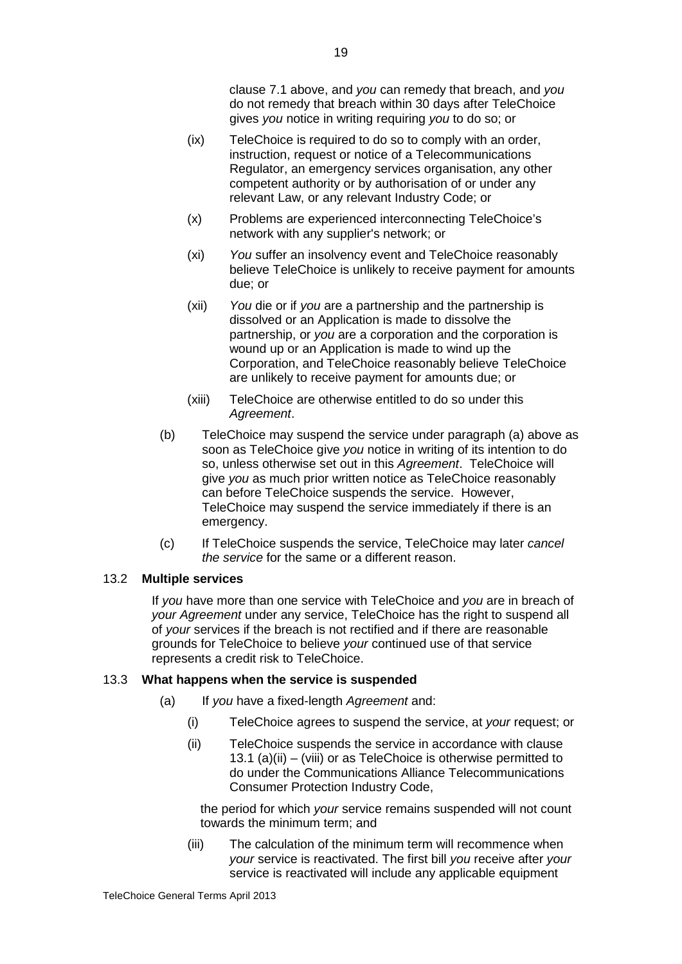clause [7.1](#page-11-0) above, and *you* can remedy that breach, and *you* do not remedy that breach within 30 days after TeleChoice gives *you* notice in writing requiring *you* to do so; or

- (ix) TeleChoice is required to do so to comply with an order, instruction, request or notice of a Telecommunications Regulator, an emergency services organisation, any other competent authority or by authorisation of or under any relevant Law, or any relevant Industry Code; or
- (x) Problems are experienced interconnecting TeleChoice's network with any supplier's network; or
- (xi) *You* suffer an insolvency event and TeleChoice reasonably believe TeleChoice is unlikely to receive payment for amounts due; or
- (xii) *You* die or if *you* are a partnership and the partnership is dissolved or an Application is made to dissolve the partnership, or *you* are a corporation and the corporation is wound up or an Application is made to wind up the Corporation, and TeleChoice reasonably believe TeleChoice are unlikely to receive payment for amounts due; or
- (xiii) TeleChoice are otherwise entitled to do so under this *Agreement*.
- (b) TeleChoice may suspend the service under paragraph (a) above as soon as TeleChoice give *you* notice in writing of its intention to do so, unless otherwise set out in this *Agreement*. TeleChoice will give *you* as much prior written notice as TeleChoice reasonably can before TeleChoice suspends the service. However, TeleChoice may suspend the service immediately if there is an emergency.
- (c) If TeleChoice suspends the service, TeleChoice may later *cancel the service* for the same or a different reason.

## 13.2 **Multiple services**

If *you* have more than one service with TeleChoice and *you* are in breach of *your Agreement* under any service, TeleChoice has the right to suspend all of *your* services if the breach is not rectified and if there are reasonable grounds for TeleChoice to believe *your* continued use of that service represents a credit risk to TeleChoice.

#### 13.3 **What happens when the service is suspended**

- (a) If *you* have a fixed-length *Agreement* and:
	- (i) TeleChoice agrees to suspend the service, at *your* request; or
	- (ii) TeleChoice suspends the service in accordance with clause 13.1 (a)(ii) – (viii) or as TeleChoice is otherwise permitted to do under the Communications Alliance Telecommunications Consumer Protection Industry Code,

the period for which *your* service remains suspended will not count towards the minimum term; and

(iii) The calculation of the minimum term will recommence when *your* service is reactivated. The first bill *you* receive after *your* service is reactivated will include any applicable equipment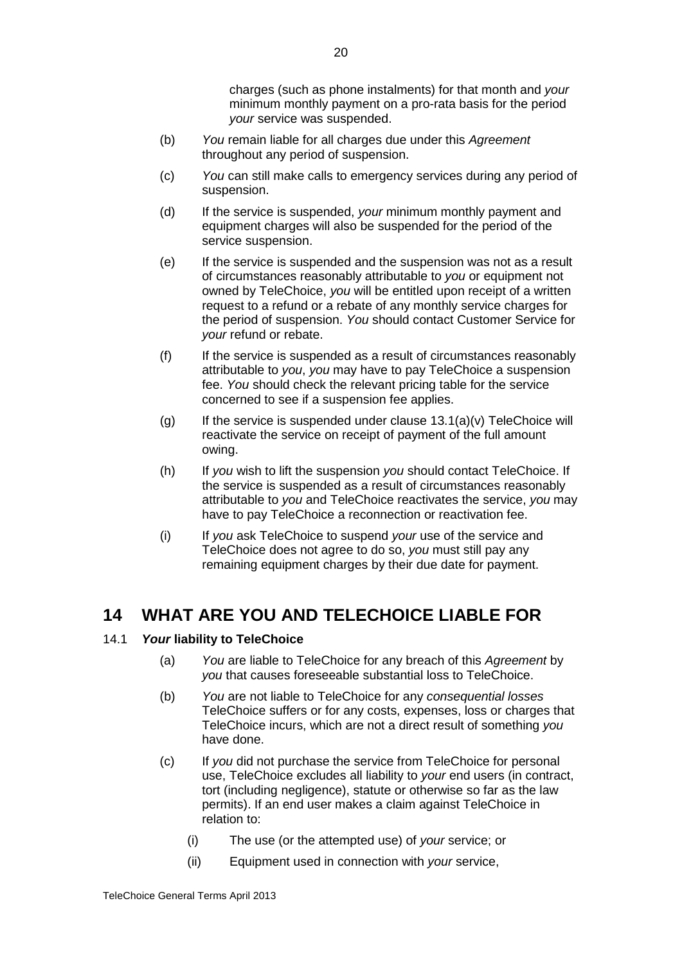charges (such as phone instalments) for that month and *your* minimum monthly payment on a pro-rata basis for the period *your* service was suspended.

- (b) *You* remain liable for all charges due under this *Agreement* throughout any period of suspension.
- (c) *You* can still make calls to emergency services during any period of suspension.
- (d) If the service is suspended, *your* minimum monthly payment and equipment charges will also be suspended for the period of the service suspension.
- (e) If the service is suspended and the suspension was not as a result of circumstances reasonably attributable to *you* or equipment not owned by TeleChoice, *you* will be entitled upon receipt of a written request to a refund or a rebate of any monthly service charges for the period of suspension. *You* should contact Customer Service for *your* refund or rebate.
- (f) If the service is suspended as a result of circumstances reasonably attributable to *you*, *you* may have to pay TeleChoice a suspension fee. *You* should check the relevant pricing table for the service concerned to see if a suspension fee applies.
- $(q)$  If the service is suspended under clause [13.1\(a\)\(v\)](#page-20-1) TeleChoice will reactivate the service on receipt of payment of the full amount owing.
- (h) If *you* wish to lift the suspension *you* should contact TeleChoice. If the service is suspended as a result of circumstances reasonably attributable to *you* and TeleChoice reactivates the service, *you* may have to pay TeleChoice a reconnection or reactivation fee.
- (i) If *you* ask TeleChoice to suspend *your* use of the service and TeleChoice does not agree to do so, *you* must still pay any remaining equipment charges by their due date for payment.

## **14 WHAT ARE YOU AND TELECHOICE LIABLE FOR**

## 14.1 *Your* **liability to TeleChoice**

- (a) *You* are liable to TeleChoice for any breach of this *Agreement* by *you* that causes foreseeable substantial loss to TeleChoice.
- (b) *You* are not liable to TeleChoice for any *consequential losses*  TeleChoice suffers or for any costs, expenses, loss or charges that TeleChoice incurs, which are not a direct result of something *you* have done.
- (c) If *you* did not purchase the service from TeleChoice for personal use, TeleChoice excludes all liability to *your* end users (in contract, tort (including negligence), statute or otherwise so far as the law permits). If an end user makes a claim against TeleChoice in relation to:
	- (i) The use (or the attempted use) of *your* service; or
	- (ii) Equipment used in connection with *your* service,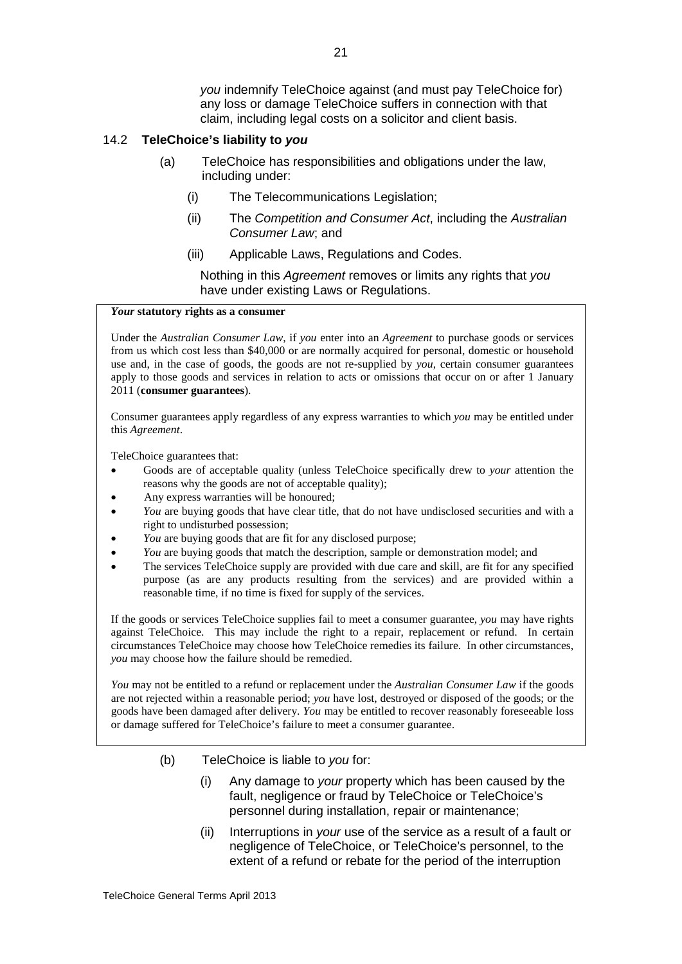*you* indemnify TeleChoice against (and must pay TeleChoice for) any loss or damage TeleChoice suffers in connection with that claim, including legal costs on a solicitor and client basis.

#### 14.2 **TeleChoice's liability to** *you*

- (a) TeleChoice has responsibilities and obligations under the law, including under:
	- (i) The Telecommunications Legislation;
	- (ii) The *Competition and Consumer Act*, including the *Australian Consumer Law*; and
	- (iii) Applicable Laws, Regulations and Codes.

Nothing in this *Agreement* removes or limits any rights that *you* have under existing Laws or Regulations.

#### *Your* **statutory rights as a consumer**

Under the *Australian Consumer Law*, if *you* enter into an *Agreement* to purchase goods or services from us which cost less than \$40,000 or are normally acquired for personal, domestic or household use and, in the case of goods, the goods are not re-supplied by *you*, certain consumer guarantees apply to those goods and services in relation to acts or omissions that occur on or after 1 January 2011 (**consumer guarantees**).

Consumer guarantees apply regardless of any express warranties to which *you* may be entitled under this *Agreement*.

TeleChoice guarantees that:

- Goods are of acceptable quality (unless TeleChoice specifically drew to *your* attention the reasons why the goods are not of acceptable quality);
- Any express warranties will be honoured;
- *You* are buying goods that have clear title, that do not have undisclosed securities and with a right to undisturbed possession;
- *You* are buying goods that are fit for any disclosed purpose;
- *You* are buying goods that match the description, sample or demonstration model; and
- The services TeleChoice supply are provided with due care and skill, are fit for any specified purpose (as are any products resulting from the services) and are provided within a reasonable time, if no time is fixed for supply of the services.

If the goods or services TeleChoice supplies fail to meet a consumer guarantee, *you* may have rights against TeleChoice. This may include the right to a repair, replacement or refund. In certain circumstances TeleChoice may choose how TeleChoice remedies its failure. In other circumstances, *you* may choose how the failure should be remedied.

*You* may not be entitled to a refund or replacement under the *Australian Consumer Law* if the goods are not rejected within a reasonable period; *you* have lost, destroyed or disposed of the goods; or the goods have been damaged after delivery. *You* may be entitled to recover reasonably foreseeable loss or damage suffered for TeleChoice's failure to meet a consumer guarantee.

- (b) TeleChoice is liable to *you* for:
	- (i) Any damage to *your* property which has been caused by the fault, negligence or fraud by TeleChoice or TeleChoice's personnel during installation, repair or maintenance;
	- (ii) Interruptions in *your* use of the service as a result of a fault or negligence of TeleChoice, or TeleChoice's personnel, to the extent of a refund or rebate for the period of the interruption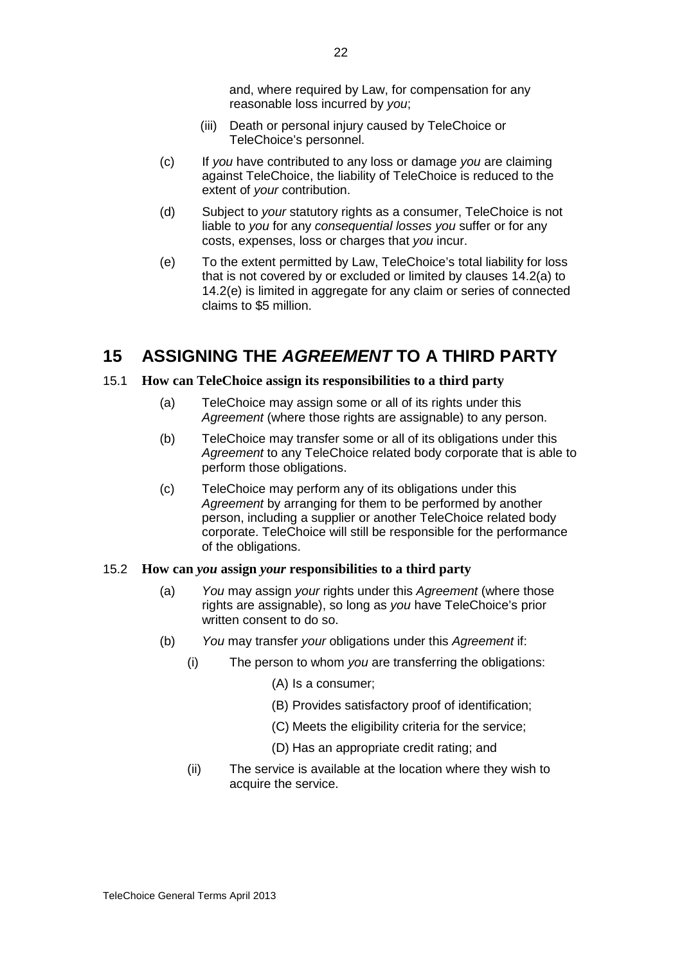and, where required by Law, for compensation for any reasonable loss incurred by *you*;

- (iii) Death or personal injury caused by TeleChoice or TeleChoice's personnel.
- (c) If *you* have contributed to any loss or damage *you* are claiming against TeleChoice, the liability of TeleChoice is reduced to the extent of *your* contribution.
- (d) Subject to *your* statutory rights as a consumer, TeleChoice is not liable to *you* for any *consequential losses you* suffer or for any costs, expenses, loss or charges that *you* incur.
- (e) To the extent permitted by Law, TeleChoice's total liability for loss that is not covered by or excluded or limited by clauses 14.2(a) to 14.2(e) is limited in aggregate for any claim or series of connected claims to \$5 million.

## **15 ASSIGNING THE** *AGREEMENT* **TO A THIRD PARTY**

#### 15.1 **How can TeleChoice assign its responsibilities to a third party**

- (a) TeleChoice may assign some or all of its rights under this *Agreement* (where those rights are assignable) to any person.
- (b) TeleChoice may transfer some or all of its obligations under this *Agreement* to any TeleChoice related body corporate that is able to perform those obligations.
- (c) TeleChoice may perform any of its obligations under this *Agreement* by arranging for them to be performed by another person, including a supplier or another TeleChoice related body corporate. TeleChoice will still be responsible for the performance of the obligations.

#### 15.2 **How can** *you* **assign** *your* **responsibilities to a third party**

- (a) *You* may assign *your* rights under this *Agreement* (where those rights are assignable), so long as *you* have TeleChoice's prior written consent to do so.
- (b) *You* may transfer *your* obligations under this *Agreement* if:
	- (i) The person to whom *you* are transferring the obligations:
		- (A) Is a consumer;
		- (B) Provides satisfactory proof of identification;
		- (C) Meets the eligibility criteria for the service;
		- (D) Has an appropriate credit rating; and
	- (ii) The service is available at the location where they wish to acquire the service.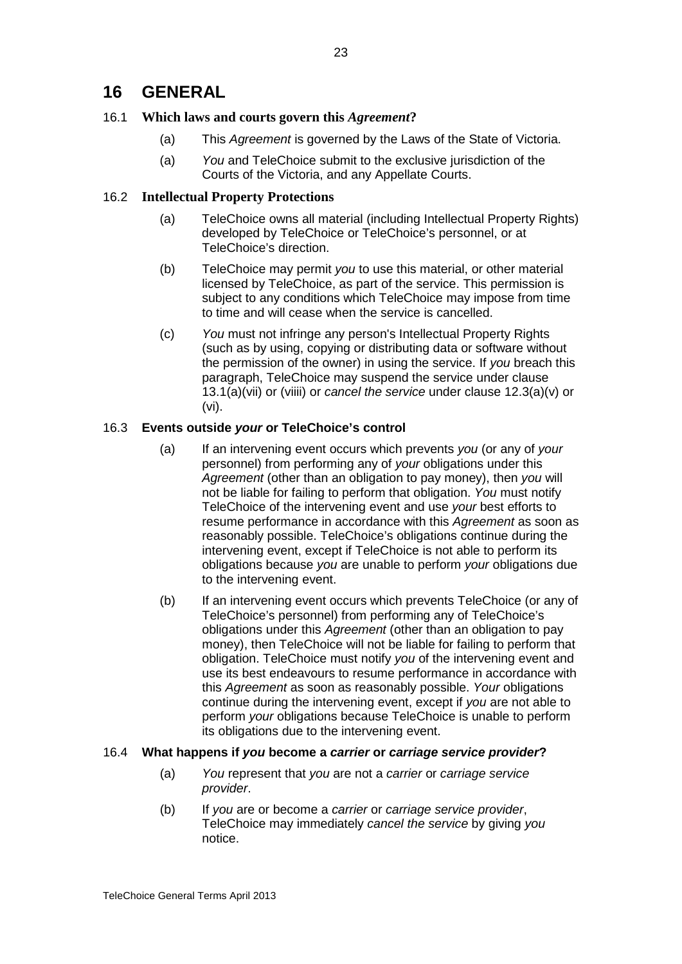## **16 GENERAL**

## 16.1 **Which laws and courts govern this** *Agreement***?**

- (a) This *Agreement* is governed by the Laws of the State of Victoria.
- (a) *You* and TeleChoice submit to the exclusive jurisdiction of the Courts of the Victoria, and any Appellate Courts.

## 16.2 **Intellectual Property Protections**

- (a) TeleChoice owns all material (including Intellectual Property Rights) developed by TeleChoice or TeleChoice's personnel, or at TeleChoice's direction.
- (b) TeleChoice may permit *you* to use this material, or other material licensed by TeleChoice, as part of the service. This permission is subject to any conditions which TeleChoice may impose from time to time and will cease when the service is cancelled.
- (c) *You* must not infringe any person's Intellectual Property Rights (such as by using, copying or distributing data or software without the permission of the owner) in using the service. If *you* breach this paragraph, TeleChoice may suspend the service under clause 13.1(a)(vii) or (viiii) or *cancel the service* under clause 12.3(a)(v) or (vi).

## 16.3 **Events outside** *your* **or TeleChoice's control**

- (a) If an intervening event occurs which prevents *you* (or any of *your* personnel) from performing any of *your* obligations under this *Agreement* (other than an obligation to pay money), then *you* will not be liable for failing to perform that obligation. *You* must notify TeleChoice of the intervening event and use *your* best efforts to resume performance in accordance with this *Agreement* as soon as reasonably possible. TeleChoice's obligations continue during the intervening event, except if TeleChoice is not able to perform its obligations because *you* are unable to perform *your* obligations due to the intervening event.
- (b) If an intervening event occurs which prevents TeleChoice (or any of TeleChoice's personnel) from performing any of TeleChoice's obligations under this *Agreement* (other than an obligation to pay money), then TeleChoice will not be liable for failing to perform that obligation. TeleChoice must notify *you* of the intervening event and use its best endeavours to resume performance in accordance with this *Agreement* as soon as reasonably possible. *Your* obligations continue during the intervening event, except if *you* are not able to perform *your* obligations because TeleChoice is unable to perform its obligations due to the intervening event.

## 16.4 **What happens if** *you* **become a** *carrier* **or** *carriage service provider***?**

- (a) *You* represent that *you* are not a *carrier* or *carriage service provider*.
- (b) If *you* are or become a *carrier* or *carriage service provider*, TeleChoice may immediately *cancel the service* by giving *you* notice.